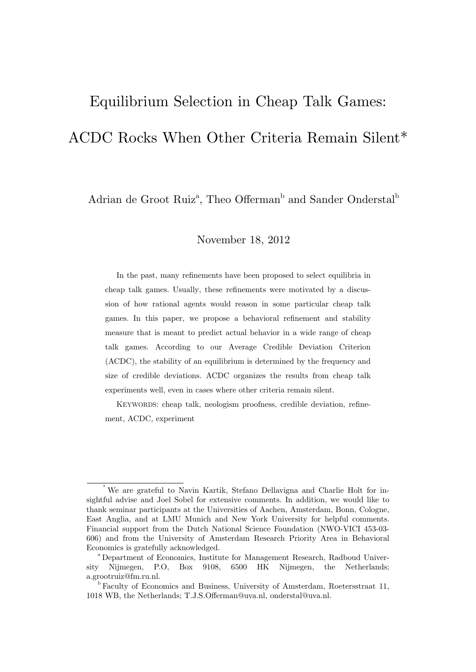# Equilibrium Selection in Cheap Talk Games: ACDC Rocks When Other Criteria Remain Silent\*

Adrian de Groot Ruiz<sup>a</sup>, Theo Offerman<sup>b</sup> and Sander Onderstal<sup>b</sup>

November 18, 2012

In the past, many refinements have been proposed to select equilibria in cheap talk games. Usually, these refinements were motivated by a discussion of how rational agents would reason in some particular cheap talk games. In this paper, we propose a behavioral refinement and stability measure that is meant to predict actual behavior in a wide range of cheap talk games. According to our Average Credible Deviation Criterion (ACDC), the stability of an equilibrium is determined by the frequency and size of credible deviations. ACDC organizes the results from cheap talk experiments well, even in cases where other criteria remain silent.

KEYWORDS: cheap talk, neologism proofness, credible deviation, refinement, ACDC, experiment

We are grateful to Navin Kartik, Stefano Dellavigna and Charlie Holt for insightful advise and Joel Sobel for extensive comments. In addition, we would like to thank seminar participants at the Universities of Aachen, Amsterdam, Bonn, Cologne, East Anglia, and at LMU Munich and New York University for helpful comments. Financial support from the Dutch National Science Foundation (NWO-VICI 453-03- 606) and from the University of Amsterdam Research Priority Area in Behavioral Economics is gratefully acknowledged.<br>
<sup>a</sup> Department of Economics, Institute for Management Research, Radboud Univer-

sity Nijmegen, P.O, Box 9108, 6500 HK Nijmegen, the Netherlands; a.grootruiz@fm.ru.nl.

b Faculty of Economics and Business, University of Amsterdam, Roetersstraat 11, 1018 WB, the Netherlands; T.J.S.Offerman@uva.nl, onderstal@uva.nl.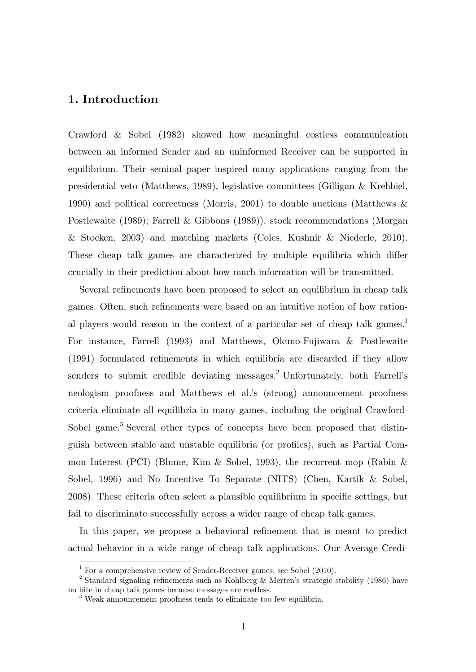# **1. Introduction**

-

Crawford & Sobel (1982) showed how meaningful costless communication between an informed Sender and an uninformed Receiver can be supported in equilibrium. Their seminal paper inspired many applications ranging from the presidential veto (Matthews, 1989), legislative committees (Gilligan & Krehbiel, 1990) and political correctness (Morris, 2001) to double auctions (Matthews & Postlewaite (1989); Farrell & Gibbons (1989)), stock recommendations (Morgan & Stocken, 2003) and matching markets (Coles, Kushnir & Niederle, 2010). These cheap talk games are characterized by multiple equilibria which differ crucially in their prediction about how much information will be transmitted.

Several refinements have been proposed to select an equilibrium in cheap talk games. Often, such refinements were based on an intuitive notion of how rational players would reason in the context of a particular set of cheap talk games.<sup>1</sup> For instance, Farrell (1993) and Matthews, Okuno-Fujiwara & Postlewaite (1991) formulated refinements in which equilibria are discarded if they allow senders to submit credible deviating messages.<sup>2</sup> Unfortunately, both Farrell's neologism proofness and Matthews et al.'s (strong) announcement proofness criteria eliminate all equilibria in many games, including the original Crawford-Sobel game.<sup>3</sup> Several other types of concepts have been proposed that distinguish between stable and unstable equilibria (or profiles), such as Partial Common Interest (PCI) (Blume, Kim & Sobel, 1993), the recurrent mop (Rabin & Sobel, 1996) and No Incentive To Separate (NITS) (Chen, Kartik & Sobel, 2008). These criteria often select a plausible equilibrium in specific settings, but fail to discriminate successfully across a wider range of cheap talk games.

In this paper, we propose a behavioral refinement that is meant to predict actual behavior in a wide range of cheap talk applications. Our Average Credi-

<sup>&</sup>lt;sup>1</sup> For a comprehensive review of Sender-Receiver games, see Sobel (2010).

<sup>&</sup>lt;sup>2</sup> Standard signaling refinements such as Kohlberg & Merten's strategic stability (1986) have no bite in cheap talk games because messages are costless.

<sup>&</sup>lt;sup>3</sup> Weak announcement proofness tends to eliminate too few equilibria.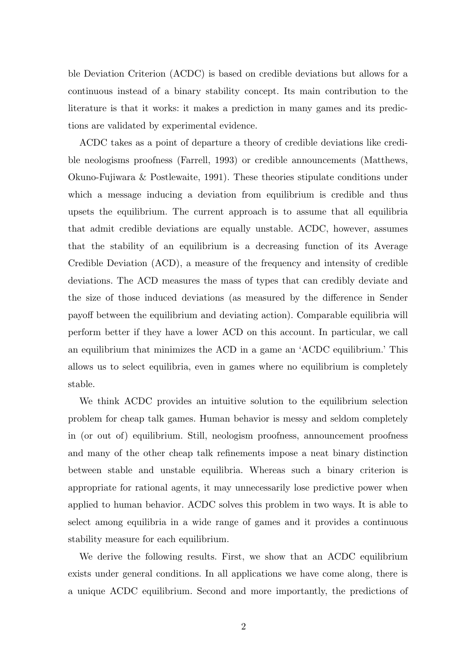ble Deviation Criterion (ACDC) is based on credible deviations but allows for a continuous instead of a binary stability concept. Its main contribution to the literature is that it works: it makes a prediction in many games and its predictions are validated by experimental evidence.

ACDC takes as a point of departure a theory of credible deviations like credible neologisms proofness (Farrell, 1993) or credible announcements (Matthews, Okuno-Fujiwara & Postlewaite, 1991). These theories stipulate conditions under which a message inducing a deviation from equilibrium is credible and thus upsets the equilibrium. The current approach is to assume that all equilibria that admit credible deviations are equally unstable. ACDC, however, assumes that the stability of an equilibrium is a decreasing function of its Average Credible Deviation (ACD), a measure of the frequency and intensity of credible deviations. The ACD measures the mass of types that can credibly deviate and the size of those induced deviations (as measured by the difference in Sender payoff between the equilibrium and deviating action). Comparable equilibria will perform better if they have a lower ACD on this account. In particular, we call an equilibrium that minimizes the ACD in a game an 'ACDC equilibrium.' This allows us to select equilibria, even in games where no equilibrium is completely stable.

We think ACDC provides an intuitive solution to the equilibrium selection problem for cheap talk games. Human behavior is messy and seldom completely in (or out of) equilibrium. Still, neologism proofness, announcement proofness and many of the other cheap talk refinements impose a neat binary distinction between stable and unstable equilibria. Whereas such a binary criterion is appropriate for rational agents, it may unnecessarily lose predictive power when applied to human behavior. ACDC solves this problem in two ways. It is able to select among equilibria in a wide range of games and it provides a continuous stability measure for each equilibrium.

We derive the following results. First, we show that an ACDC equilibrium exists under general conditions. In all applications we have come along, there is a unique ACDC equilibrium. Second and more importantly, the predictions of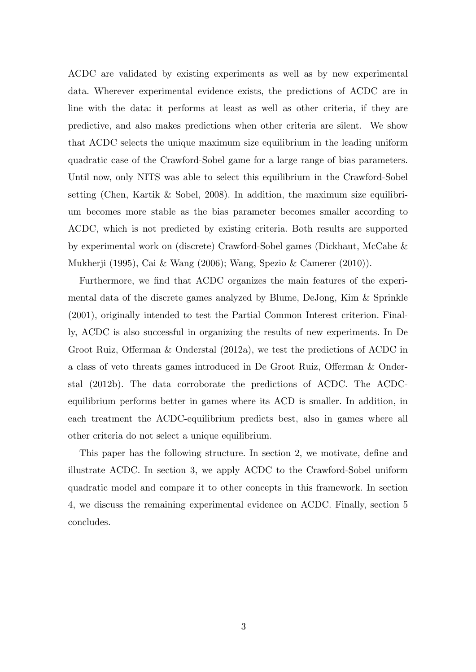ACDC are validated by existing experiments as well as by new experimental data. Wherever experimental evidence exists, the predictions of ACDC are in line with the data: it performs at least as well as other criteria, if they are predictive, and also makes predictions when other criteria are silent. We show that ACDC selects the unique maximum size equilibrium in the leading uniform quadratic case of the Crawford-Sobel game for a large range of bias parameters. Until now, only NITS was able to select this equilibrium in the Crawford-Sobel setting (Chen, Kartik & Sobel, 2008). In addition, the maximum size equilibrium becomes more stable as the bias parameter becomes smaller according to ACDC, which is not predicted by existing criteria. Both results are supported by experimental work on (discrete) Crawford-Sobel games (Dickhaut, McCabe & Mukherji (1995), Cai & Wang (2006); Wang, Spezio & Camerer (2010)).

Furthermore, we find that ACDC organizes the main features of the experimental data of the discrete games analyzed by Blume, DeJong, Kim & Sprinkle (2001), originally intended to test the Partial Common Interest criterion. Finally, ACDC is also successful in organizing the results of new experiments. In De Groot Ruiz, Offerman & Onderstal (2012a), we test the predictions of ACDC in a class of veto threats games introduced in De Groot Ruiz, Offerman & Onderstal (2012b). The data corroborate the predictions of ACDC. The ACDCequilibrium performs better in games where its ACD is smaller. In addition, in each treatment the ACDC-equilibrium predicts best, also in games where all other criteria do not select a unique equilibrium.

This paper has the following structure. In section 2, we motivate, define and illustrate ACDC. In section 3, we apply ACDC to the Crawford-Sobel uniform quadratic model and compare it to other concepts in this framework. In section 4, we discuss the remaining experimental evidence on ACDC. Finally, section 5 concludes.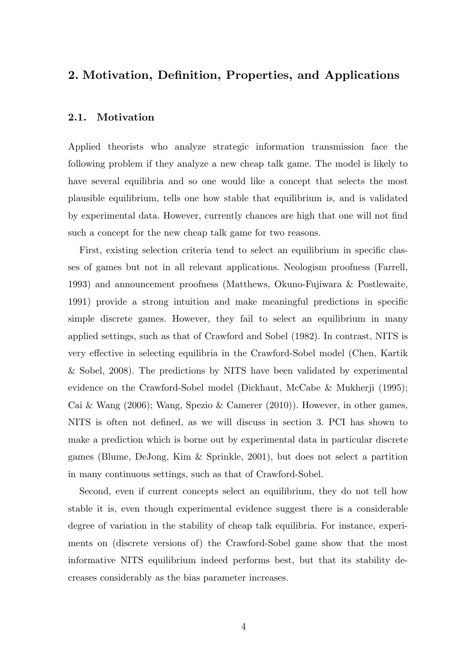# **2. Motivation, Definition, Properties, and Applications**

### **2.1. Motivation**

Applied theorists who analyze strategic information transmission face the following problem if they analyze a new cheap talk game. The model is likely to have several equilibria and so one would like a concept that selects the most plausible equilibrium, tells one how stable that equilibrium is, and is validated by experimental data. However, currently chances are high that one will not find such a concept for the new cheap talk game for two reasons.

First, existing selection criteria tend to select an equilibrium in specific classes of games but not in all relevant applications. Neologism proofness (Farrell, 1993) and announcement proofness (Matthews, Okuno-Fujiwara & Postlewaite, 1991) provide a strong intuition and make meaningful predictions in specific simple discrete games. However, they fail to select an equilibrium in many applied settings, such as that of Crawford and Sobel (1982). In contrast, NITS is very effective in selecting equilibria in the Crawford-Sobel model (Chen, Kartik & Sobel, 2008). The predictions by NITS have been validated by experimental evidence on the Crawford-Sobel model (Dickhaut, McCabe & Mukherji (1995); Cai & Wang (2006); Wang, Spezio & Camerer (2010)). However, in other games, NITS is often not defined, as we will discuss in section 3. PCI has shown to make a prediction which is borne out by experimental data in particular discrete games (Blume, DeJong, Kim & Sprinkle, 2001), but does not select a partition in many continuous settings, such as that of Crawford-Sobel.

Second, even if current concepts select an equilibrium, they do not tell how stable it is, even though experimental evidence suggest there is a considerable degree of variation in the stability of cheap talk equilibria. For instance, experiments on (discrete versions of) the Crawford-Sobel game show that the most informative NITS equilibrium indeed performs best, but that its stability decreases considerably as the bias parameter increases.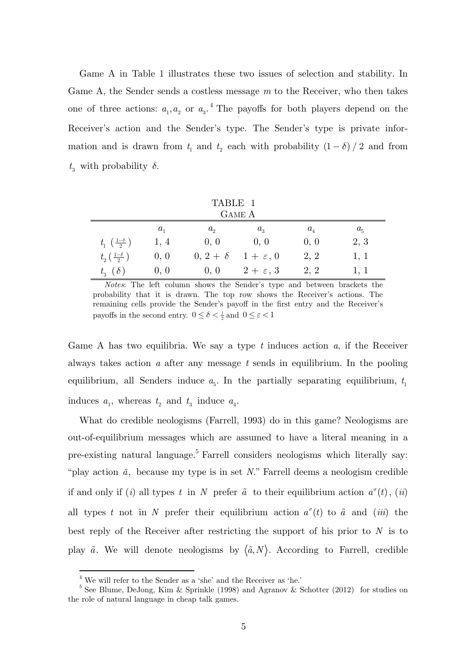Game A in Table 1 illustrates these two issues of selection and stability. In Game A, the Sender sends a costless message *m* to the Receiver, who then takes one of three actions:  $a_1, a_2$  or  $a_3$ .<sup>4</sup> The payoffs for both players depend on the Receiver's action and the Sender's type. The Sender's type is private information and is drawn from  $t_1$  and  $t_2$  each with probability  $(1 - \delta) / 2$  and from  $t_3$  with probability  $\delta$ .

| TABLE 1                                |         |                 |                    |         |         |  |  |
|----------------------------------------|---------|-----------------|--------------------|---------|---------|--|--|
| <b>GAME A</b>                          |         |                 |                    |         |         |  |  |
|                                        | $a_{1}$ | $a_{\circ}$     | $a_{3}$            | $a_{4}$ | $a_{5}$ |  |  |
| $t_1\left(\frac{1-\delta}{2}\right)$   | 1, 4    | 0, 0            | 0, 0               | 0, 0    | 2, 3    |  |  |
| $t_{2}\left(\frac{1-\delta}{2}\right)$ | 0, 0    | $0, 2 + \delta$ | $1+\varepsilon, 0$ | 2, 2    | 1, 1    |  |  |
| $t_{3}(\delta)$                        | 0, 0    | 0, 0            | $2+\varepsilon, 3$ | 2, 2    | 1, 1    |  |  |

*Notes*: The left column shows the Sender's type and between brackets the probability that it is drawn. The top row shows the Receiver's actions. The remaining cells provide the Sender's payoff in the first entry and the Receiver's payoffs in the second entry.  $0 \leq \delta < \frac{1}{2}$  and  $\,0 \leq \varepsilon < 1$ 

Game A has two equilibria. We say a type *t* induces action *a*, if the Receiver always takes action *a* after any message *t* sends in equilibrium. In the pooling equilibrium, all Senders induce  $a_{\epsilon}$ . In the partially separating equilibrium,  $t_1$ induces  $a_1$ , whereas  $t_2$  and  $t_3$  induce  $a_4$ .

What do credible neologisms (Farrell, 1993) do in this game? Neologisms are out-of-equilibrium messages which are assumed to have a literal meaning in a pre-existing natural language.<sup>5</sup> Farrell considers neologisms which literally say: "play action  $\tilde{a}$ , because my type is in set *N*." Farrell deems a neologism credible if and only if (*i*) all types *t* in *N* prefer  $\tilde{a}$  to their equilibrium action  $a^{\sigma}(t)$ , (*ii*) all types *t* not in *N* prefer their equilibrium action  $a^{\sigma}(t)$  to  $\tilde{a}$  and (*iii*) the best reply of the Receiver after restricting the support of his prior to *N* is to play  $\tilde{a}$ . We will denote neologisms by  $\langle \tilde{a}, N \rangle$ . According to Farrell, credible

-

 $^4$  We will refer to the Sender as a 'she' and the Receiver as 'he.'  $\,$ 

<sup>&</sup>lt;sup>5</sup> See Blume, DeJong, Kim & Sprinkle (1998) and Agranov & Schotter (2012) for studies on the role of natural language in cheap talk games.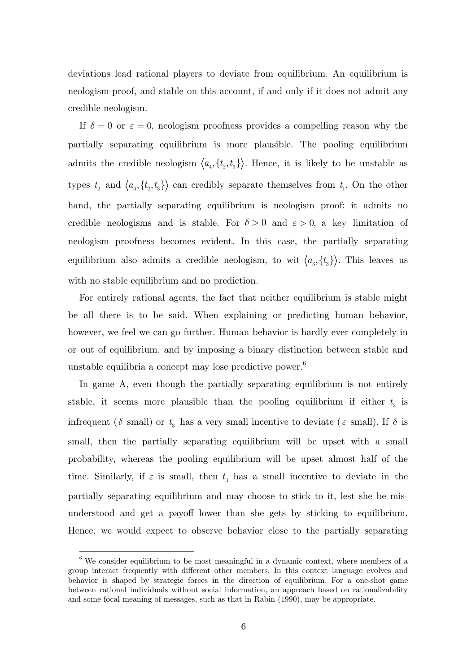deviations lead rational players to deviate from equilibrium. An equilibrium is neologism-proof, and stable on this account, if and only if it does not admit any credible neologism.

If  $\delta = 0$  or  $\varepsilon = 0$ , neologism proofness provides a compelling reason why the partially separating equilibrium is more plausible. The pooling equilibrium admits the credible neologism  $\langle a_4, \{t_2, t_3\} \rangle$ . Hence, it is likely to be unstable as types  $t_2$  and  $\langle a_4, \{t_2, t_3\} \rangle$  can credibly separate themselves from  $t_1$ . On the other hand, the partially separating equilibrium is neologism proof: it admits no credible neologisms and is stable. For  $\delta > 0$  and  $\varepsilon > 0$ , a key limitation of neologism proofness becomes evident. In this case, the partially separating equilibrium also admits a credible neologism, to wit  $\langle a_3, \{t_3\} \rangle$ . This leaves us with no stable equilibrium and no prediction.

For entirely rational agents, the fact that neither equilibrium is stable might be all there is to be said. When explaining or predicting human behavior, however, we feel we can go further. Human behavior is hardly ever completely in or out of equilibrium, and by imposing a binary distinction between stable and unstable equilibria a concept may lose predictive power.<sup>6</sup>

In game A, even though the partially separating equilibrium is not entirely stable, it seems more plausible than the pooling equilibrium if either  $t<sub>3</sub>$  is infrequent ( $\delta$  small) or  $t_3$  has a very small incentive to deviate ( $\varepsilon$  small). If  $\delta$  is small, then the partially separating equilibrium will be upset with a small probability, whereas the pooling equilibrium will be upset almost half of the time. Similarly, if  $\varepsilon$  is small, then  $t_3$  has a small incentive to deviate in the partially separating equilibrium and may choose to stick to it, lest she be misunderstood and get a payoff lower than she gets by sticking to equilibrium. Hence, we would expect to observe behavior close to the partially separating

 6 We consider equilibrium to be most meaningful in a dynamic context, where members of a group interact frequently with different other members. In this context language evolves and behavior is shaped by strategic forces in the direction of equilibrium. For a one-shot game between rational individuals without social information, an approach based on rationalizability and some focal meaning of messages, such as that in Rabin (1990), may be appropriate.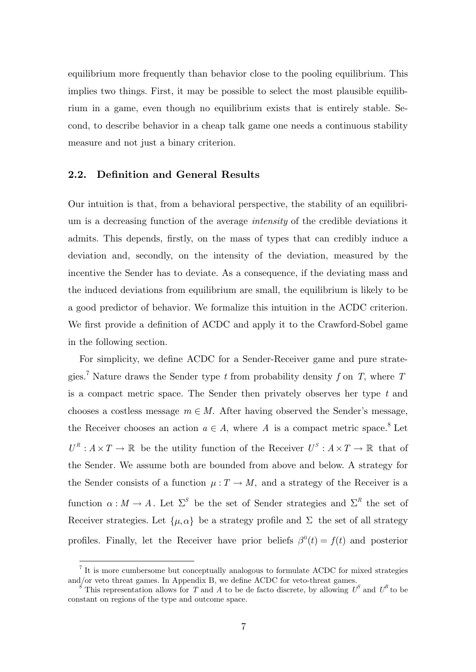equilibrium more frequently than behavior close to the pooling equilibrium. This implies two things. First, it may be possible to select the most plausible equilibrium in a game, even though no equilibrium exists that is entirely stable. Second, to describe behavior in a cheap talk game one needs a continuous stability measure and not just a binary criterion.

#### **2.2. Definition and General Results**

Our intuition is that, from a behavioral perspective, the stability of an equilibrium is a decreasing function of the average *intensity* of the credible deviations it admits. This depends, firstly, on the mass of types that can credibly induce a deviation and, secondly, on the intensity of the deviation, measured by the incentive the Sender has to deviate. As a consequence, if the deviating mass and the induced deviations from equilibrium are small, the equilibrium is likely to be a good predictor of behavior. We formalize this intuition in the ACDC criterion. We first provide a definition of ACDC and apply it to the Crawford-Sobel game in the following section.

For simplicity, we define ACDC for a Sender-Receiver game and pure strategies.<sup>7</sup> Nature draws the Sender type *t* from probability density *f* on *T*, where *T* is a compact metric space. The Sender then privately observes her type *t* and chooses a costless message  $m \in M$ . After having observed the Sender's message, the Receiver chooses an action  $a \in A$ , where A is a compact metric space.<sup>8</sup> Let  $U^R: A \times T \to \mathbb{R}$  be the utility function of the Receiver  $U^S: A \times T \to \mathbb{R}$  that of the Sender. We assume both are bounded from above and below. A strategy for the Sender consists of a function  $\mu: T \to M$ , and a strategy of the Receiver is a function  $\alpha : M \to A$ . Let  $\Sigma^S$  be the set of Sender strategies and  $\Sigma^R$  the set of Receiver strategies. Let  $\{\mu, \alpha\}$  be a strategy profile and  $\Sigma$  the set of all strategy profiles. Finally, let the Receiver have prior beliefs  $\beta^{0}(t) = f(t)$  and posterior

 7 It is more cumbersome but conceptually analogous to formulate ACDC for mixed strategies and/or veto threat games. In Appendix B, we define ACDC for veto-threat games.

This representation allows for *T* and *A* to be de facto discrete, by allowing  $U^S$  and  $U^R$  to be constant on regions of the type and outcome space.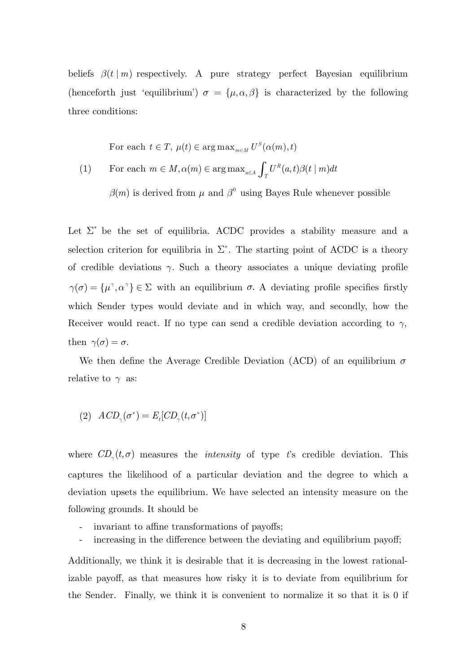beliefs  $\beta(t | m)$  respectively. A pure strategy perfect Bayesian equilibrium (henceforth just 'equilibrium')  $\sigma = {\mu, \alpha, \beta}$  is characterized by the following three conditions:

For each  $t \in T$ ,  $\mu(t) \in \arg \max_{m \in M} U^S(\alpha(m), t)$ 

(1) For each  $m \in M, \alpha(m) \in \arg \max_{a \in A} \int_{T} U^{R}(a,t) \beta(t | m)$  $m \in M, \alpha(m) \in \arg \max_{a \in A} \int_{T} U^{R}(a, t) \beta(t \mid m) dt$ 

 $\beta(m)$  is derived from  $\mu$  and  $\beta^{0}$  using Bayes Rule whenever possible

Let  $\Sigma^*$  be the set of equilibria. ACDC provides a stability measure and a selection criterion for equilibria in  $\Sigma^*$ . The starting point of ACDC is a theory of credible deviations  $\gamma$ . Such a theory associates a unique deviating profile  $\gamma(\sigma) = {\mu^{\gamma}, \alpha^{\gamma}} \in \Sigma$  with an equilibrium  $\sigma$ . A deviating profile specifies firstly which Sender types would deviate and in which way, and secondly, how the Receiver would react. If no type can send a credible deviation according to  $\gamma$ , then  $\gamma(\sigma) = \sigma$ .

We then define the Average Credible Deviation (ACD) of an equilibrium  $\sigma$ relative to  $\gamma$  as:

(2)  $ACD_{\gamma}(\sigma^*) = E_t[CD_{\gamma}(t, \sigma^*)]$ 

where  $CD_{\gamma}(t, \sigma)$  measures the *intensity* of type *t*'s credible deviation. This captures the likelihood of a particular deviation and the degree to which a deviation upsets the equilibrium. We have selected an intensity measure on the following grounds. It should be

- invariant to affine transformations of payoffs;
- increasing in the difference between the deviating and equilibrium payoff;

Additionally, we think it is desirable that it is decreasing in the lowest rationalizable payoff, as that measures how risky it is to deviate from equilibrium for the Sender. Finally, we think it is convenient to normalize it so that it is 0 if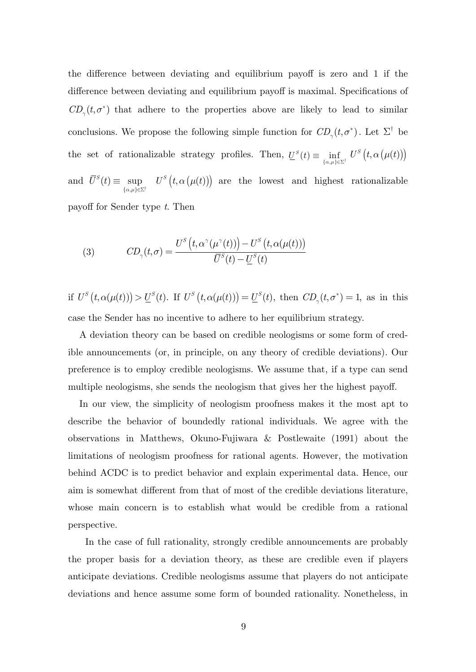the difference between deviating and equilibrium payoff is zero and 1 if the difference between deviating and equilibrium payoff is maximal. Specifications of  $CD_{\gamma}(t, \sigma^*)$  that adhere to the properties above are likely to lead to similar conclusions. We propose the following simple function for  $CD_{\gamma}(t, \sigma^*)$ . Let  $\Sigma^{\dagger}$  be the set of rationalizable strategy profiles. Then,  $\underline{U}^S(t) \equiv \inf_{\{\alpha,\mu\} \in \Sigma^{\dagger}} U^S(t, \alpha(\mu(t)))$ and  $\alpha,\mu\} \in \Sigma$  $\equiv$  $\{\alpha,\mu\} \in \Sigma^{\dagger}$  $\overline{U}^S(t) \equiv \sup U^S(t, \alpha(\mu(t)))$  are the lowest and highest rationalizable payoff for Sender type *t*. Then

(3) 
$$
CD_{\gamma}(t,\sigma) = \frac{U^S\left(t,\alpha^{\gamma}(\mu^{\gamma}(t))\right) - U^S\left(t,\alpha(\mu(t))\right)}{\overline{U}^S(t) - \underline{U}^S(t)}
$$

if  $U^S(t, \alpha(\mu(t))) > U^S(t)$ . If  $U^S(t, \alpha(\mu(t))) = U^S(t)$ , then  $CD_\gamma(t, \sigma^*) = 1$ , as in this case the Sender has no incentive to adhere to her equilibrium strategy.

A deviation theory can be based on credible neologisms or some form of credible announcements (or, in principle, on any theory of credible deviations). Our preference is to employ credible neologisms. We assume that, if a type can send multiple neologisms, she sends the neologism that gives her the highest payoff.

In our view, the simplicity of neologism proofness makes it the most apt to describe the behavior of boundedly rational individuals. We agree with the observations in Matthews, Okuno-Fujiwara & Postlewaite (1991) about the limitations of neologism proofness for rational agents. However, the motivation behind ACDC is to predict behavior and explain experimental data. Hence, our aim is somewhat different from that of most of the credible deviations literature, whose main concern is to establish what would be credible from a rational perspective.

In the case of full rationality, strongly credible announcements are probably the proper basis for a deviation theory, as these are credible even if players anticipate deviations. Credible neologisms assume that players do not anticipate deviations and hence assume some form of bounded rationality. Nonetheless, in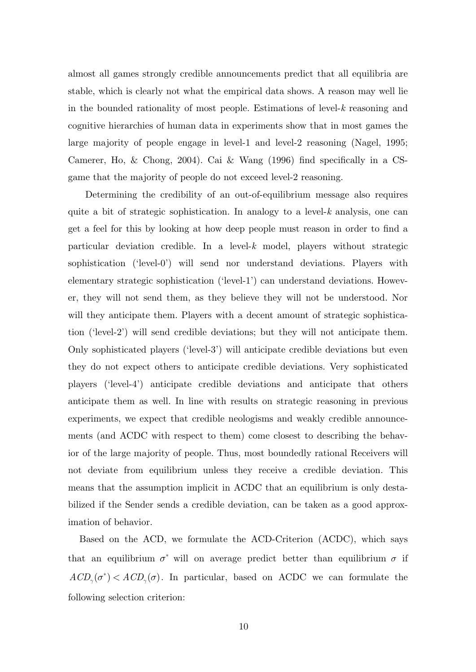almost all games strongly credible announcements predict that all equilibria are stable, which is clearly not what the empirical data shows. A reason may well lie in the bounded rationality of most people. Estimations of level-*k* reasoning and cognitive hierarchies of human data in experiments show that in most games the large majority of people engage in level-1 and level-2 reasoning (Nagel, 1995; Camerer, Ho, & Chong, 2004). Cai & Wang (1996) find specifically in a CSgame that the majority of people do not exceed level-2 reasoning.

Determining the credibility of an out-of-equilibrium message also requires quite a bit of strategic sophistication. In analogy to a level-*k* analysis, one can get a feel for this by looking at how deep people must reason in order to find a particular deviation credible. In a level-*k* model, players without strategic sophistication ('level-0') will send nor understand deviations. Players with elementary strategic sophistication ('level-1') can understand deviations. However, they will not send them, as they believe they will not be understood. Nor will they anticipate them. Players with a decent amount of strategic sophistication ('level-2') will send credible deviations; but they will not anticipate them. Only sophisticated players ('level-3') will anticipate credible deviations but even they do not expect others to anticipate credible deviations. Very sophisticated players ('level-4') anticipate credible deviations and anticipate that others anticipate them as well. In line with results on strategic reasoning in previous experiments, we expect that credible neologisms and weakly credible announcements (and ACDC with respect to them) come closest to describing the behavior of the large majority of people. Thus, most boundedly rational Receivers will not deviate from equilibrium unless they receive a credible deviation. This means that the assumption implicit in ACDC that an equilibrium is only destabilized if the Sender sends a credible deviation, can be taken as a good approximation of behavior.

Based on the ACD, we formulate the ACD-Criterion (ACDC), which says that an equilibrium  $\sigma^*$  will on average predict better than equilibrium  $\sigma$  if  $ACD_{\gamma}(\sigma^*) < ACD_{\gamma}(\sigma)$ . In particular, based on ACDC we can formulate the following selection criterion: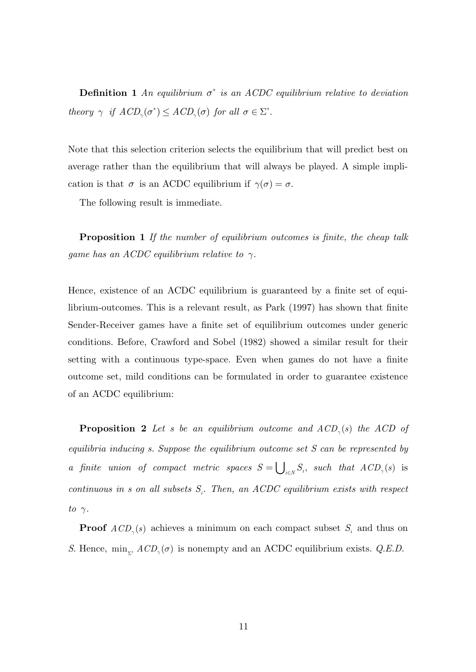**Definition 1** An equilibrium  $\sigma^*$  is an ACDC equilibrium relative to deviation *theory*  $\gamma$  *if*  $ACD_{\gamma}(\sigma^*) \leq ACD_{\gamma}(\sigma)$  *for all*  $\sigma \in \Sigma^*$ .

Note that this selection criterion selects the equilibrium that will predict best on average rather than the equilibrium that will always be played. A simple implication is that  $\sigma$  is an ACDC equilibrium if  $\gamma(\sigma) = \sigma$ .

The following result is immediate.

**Proposition 1** *If the number of equilibrium outcomes is finite, the cheap talk game has an ACDC equilibrium relative to*  $\gamma$ *.* 

Hence, existence of an ACDC equilibrium is guaranteed by a finite set of equilibrium-outcomes. This is a relevant result, as Park (1997) has shown that finite Sender-Receiver games have a finite set of equilibrium outcomes under generic conditions. Before, Crawford and Sobel (1982) showed a similar result for their setting with a continuous type-space. Even when games do not have a finite outcome set, mild conditions can be formulated in order to guarantee existence of an ACDC equilibrium:

**Proposition 2** Let s be an equilibrium outcome and  $ACD_{\gamma}(s)$  the ACD of *equilibria inducing s. Suppose the equilibrium outcome set S can be represented by a* finite union of compact metric spaces  $S = \bigcup_{i \in N} S_i$ , such that  $ACD_{\gamma}(s)$  is *continuous in s on all subsets*  $S_i$ . Then, an ACDC equilibrium exists with respect *to*  $\gamma$ .

**Proof**  $ACD_{\gamma}(s)$  achieves a minimum on each compact subset  $S_i$  and thus on *S*. Hence,  $\min_{\Sigma^*} ACD_{\gamma}(\sigma)$  is nonempty and an ACDC equilibrium exists. *Q.E.D.*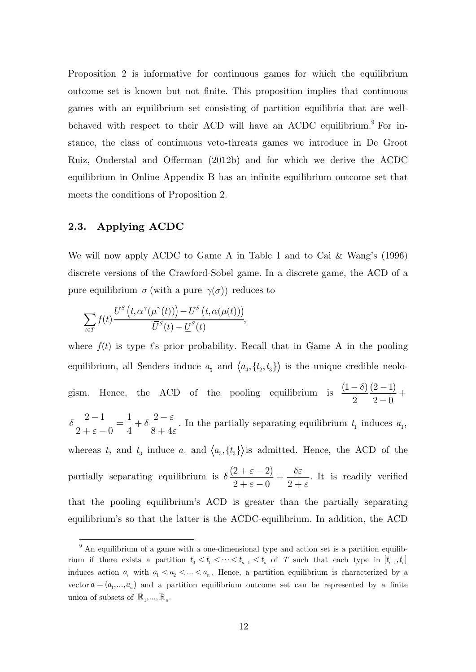Proposition 2 is informative for continuous games for which the equilibrium outcome set is known but not finite. This proposition implies that continuous games with an equilibrium set consisting of partition equilibria that are wellbehaved with respect to their ACD will have an ACDC equilibrium.<sup>9</sup> For instance, the class of continuous veto-threats games we introduce in De Groot Ruiz, Onderstal and Offerman (2012b) and for which we derive the ACDC equilibrium in Online Appendix B has an infinite equilibrium outcome set that meets the conditions of Proposition 2.

## **2.3. Applying ACDC**

-

We will now apply ACDC to Game A in Table 1 and to Cai & Wang's (1996) discrete versions of the Crawford-Sobel game. In a discrete game, the ACD of a pure equilibrium  $\sigma$  (with a pure  $\gamma(\sigma)$ ) reduces to

$$
\sum_{t \in T} f(t) \frac{U^S\left(t, \alpha^{\gamma}(\mu^{\gamma}(t))\right) - U^S\left(t, \alpha(\mu(t))\right)}{\overline{U}^S(t) - \underline{U}^S(t)},
$$

where  $f(t)$  is type  $t$ 's prior probability. Recall that in Game A in the pooling equilibrium, all Senders induce  $a_5$  and  $\langle a_4, \{t_2, t_3\} \rangle$  is the unique credible neologism. Hence, the ACD of the pooling equilibrium is  $\frac{(1 - \delta) (2 - 1)}{2}$ 2  $2-0$  $\frac{-6}{2} \frac{(2-1)}{2-0} +$  $2 - 1$  $2 + \varepsilon - 0$ *d*  $\frac{2-1}{+\varepsilon-0} = \frac{1}{4} + \delta \frac{2-\varepsilon}{8+4\varepsilon}.$ *e*  $+\delta \frac{2-}{\sqrt{2}}$  $\frac{1}{x+4\varepsilon}$ . In the partially separating equilibrium  $t_1$  induces  $a_1$ , whereas  $t_2$  and  $t_3$  induce  $a_4$  and  $\langle a_3, \{t_3\} \rangle$  is admitted. Hence, the ACD of the partially separating equilibrium is  $\delta \frac{(2 + \varepsilon - 2)}{2}$  $2 + \varepsilon - 0$  $\delta \frac{(2+\varepsilon)}{2}$  $\frac{+\varepsilon-2}{+\varepsilon-0} = \frac{\delta\varepsilon}{2+\varepsilon}.$ + *e* It is readily verified that the pooling equilibrium's ACD is greater than the partially separating equilibrium's so that the latter is the ACDC-equilibrium. In addition, the ACD

 $9<sup>9</sup>$  An equilibrium of a game with a one-dimensional type and action set is a partition equilibrium if there exists a partition  $t_0 < t_1 < \cdots < t_{n-1} < t_n$  of T such that each type in  $[t_{i-1}, t_i]$ induces action  $a_i$  with  $a_1 < a_2 < ... < a_n$ . Hence, a partition equilibrium is characterized by a vector  $a = (a_1, ..., a_n)$  and a partition equilibrium outcome set can be represented by a finite union of subsets of  $\mathbb{R}_1, \ldots, \mathbb{R}_n$ .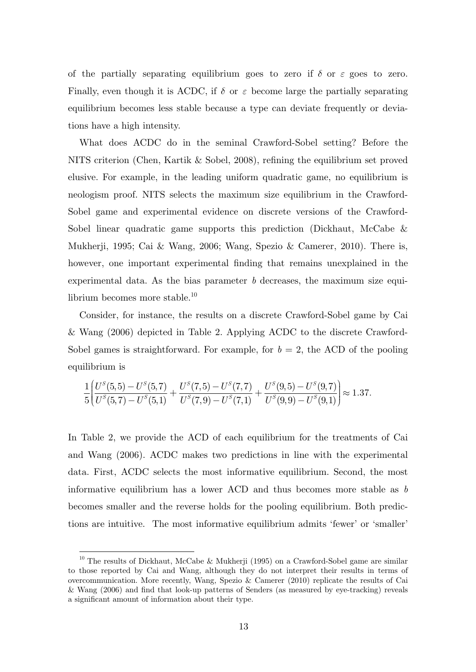of the partially separating equilibrium goes to zero if  $\delta$  or  $\varepsilon$  goes to zero. Finally, even though it is ACDC, if  $\delta$  or  $\varepsilon$  become large the partially separating equilibrium becomes less stable because a type can deviate frequently or deviations have a high intensity.

What does ACDC do in the seminal Crawford-Sobel setting? Before the NITS criterion (Chen, Kartik & Sobel, 2008), refining the equilibrium set proved elusive. For example, in the leading uniform quadratic game, no equilibrium is neologism proof. NITS selects the maximum size equilibrium in the Crawford-Sobel game and experimental evidence on discrete versions of the Crawford-Sobel linear quadratic game supports this prediction (Dickhaut, McCabe & Mukherji, 1995; Cai & Wang, 2006; Wang, Spezio & Camerer, 2010). There is, however, one important experimental finding that remains unexplained in the experimental data. As the bias parameter *b* decreases, the maximum size equilibrium becomes more stable. $^{10}$ 

Consider, for instance, the results on a discrete Crawford-Sobel game by Cai & Wang (2006) depicted in Table 2. Applying ACDC to the discrete Crawford-Sobel games is straightforward. For example, for  $b = 2$ , the ACD of the pooling equilibrium is

$$
\frac{1}{5}\left(\frac{U^S(5,5)-U^S(5,7)}{U^S(5,7)-U^S(5,1)}+\frac{U^S(7,5)-U^S(7,7)}{U^S(7,9)-U^S(7,1)}+\frac{U^S(9,5)-U^S(9,7)}{U^S(9,9)-U^S(9,1)}\right)\approx 1.37.
$$

In Table 2, we provide the ACD of each equilibrium for the treatments of Cai and Wang (2006). ACDC makes two predictions in line with the experimental data. First, ACDC selects the most informative equilibrium. Second, the most informative equilibrium has a lower ACD and thus becomes more stable as *b*  becomes smaller and the reverse holds for the pooling equilibrium. Both predictions are intuitive. The most informative equilibrium admits 'fewer' or 'smaller'

-

<sup>&</sup>lt;sup>10</sup> The results of Dickhaut, McCabe & Mukherji (1995) on a Crawford-Sobel game are similar to those reported by Cai and Wang, although they do not interpret their results in terms of overcommunication. More recently, Wang, Spezio & Camerer (2010) replicate the results of Cai & Wang (2006) and find that look-up patterns of Senders (as measured by eye-tracking) reveals a significant amount of information about their type.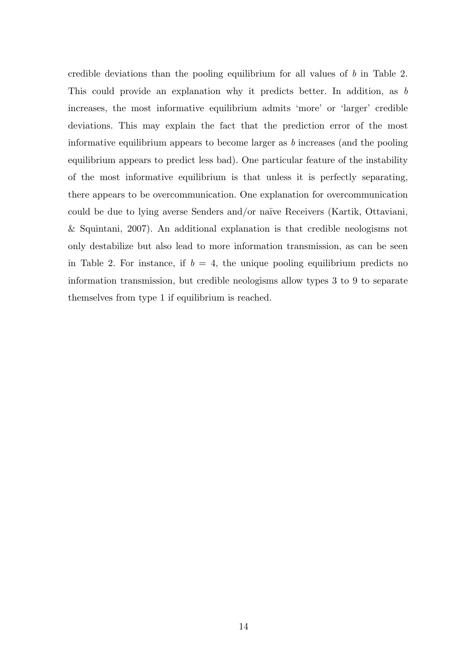credible deviations than the pooling equilibrium for all values of *b* in Table 2. This could provide an explanation why it predicts better. In addition, as *b* increases, the most informative equilibrium admits 'more' or 'larger' credible deviations. This may explain the fact that the prediction error of the most informative equilibrium appears to become larger as *b* increases (and the pooling equilibrium appears to predict less bad). One particular feature of the instability of the most informative equilibrium is that unless it is perfectly separating, there appears to be overcommunication. One explanation for overcommunication could be due to lying averse Senders and/or naïve Receivers (Kartik, Ottaviani, & Squintani, 2007). An additional explanation is that credible neologisms not only destabilize but also lead to more information transmission, as can be seen in Table 2. For instance, if  $b = 4$ , the unique pooling equilibrium predicts no information transmission, but credible neologisms allow types 3 to 9 to separate themselves from type 1 if equilibrium is reached.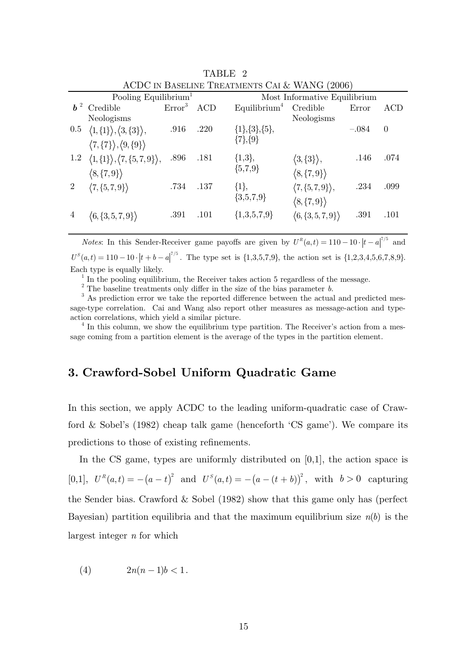|            | Pooling Equilibrium <sup>1</sup>                        |                    |      |                          | Most Informative Equilibrium        |         |          |
|------------|---------------------------------------------------------|--------------------|------|--------------------------|-------------------------------------|---------|----------|
| $\bm{b}^2$ | Credible                                                | Error <sup>3</sup> | ACD  | Equilibrium <sup>4</sup> | Credible                            | Error   | ACD      |
|            | Neologisms                                              |                    |      |                          | Neologisms                          |         |          |
| $0.5\,$    | $\langle 1, \{1\} \rangle, \langle 3, \{3\} \rangle,$   | .916               | .220 | $\{1\}, \{3\}, \{5\},\$  |                                     | $-.084$ | $\theta$ |
|            | $\langle 7,\{7\}\rangle,\langle 9,\{9\}\rangle$         |                    |      | $\{7\},\{9\}$            |                                     |         |          |
| $1.2\,$    | $\langle 1,\{1\} \rangle, \langle 7,\{5,7,9\} \rangle,$ | .896               | .181 | $\{1,3\},\$              | $\langle 3,\{3\}\rangle,$           | .146    | .074     |
|            | $\langle 8, \{7,9\} \rangle$                            |                    |      | ${5,7,9}$                | $\langle 8, \{7,9\} \rangle$        |         |          |
| 2          | $\langle 7,\{5,7,9\}\rangle$                            | .734               | .137 | $\{1\},\$                | $\langle 7,\{5,7,9\}\rangle,$       | .234    | .099     |
|            |                                                         |                    |      | ${3,5,7,9}$              | $\langle 8, \{7,9\} \rangle$        |         |          |
|            | $\langle 6, \{3, 5, 7, 9\} \rangle$                     | .391               | .101 | ${1,3,5,7,9}$            | $\langle 6, \{3, 5, 7, 9\} \rangle$ | .391    | .101     |
|            |                                                         |                    |      |                          |                                     |         |          |

TABLE 2 ACDC IN BASELINE TREATMENTS CAI & WANG (2006)

*Notes*: In this Sender-Receiver game payoffs are given by  $U^R(a,t) = 110 - 10 \cdot |t-a|^{7/5}$  and  $U^{S}(a,t) = 110 - 10 \cdot |t+b-a|^{7/5}$ . The type set is {1,3,5,7,9}, the action set is {1,2,3,4,5,6,7,8,9}. Each type is equally likely.

In the pooling equilibrium, the Receiver takes action 5 regardless of the message.

The baseline treatments only differ in the size of the bias parameter *b*.  $\frac{3}{2}$  As prediction even we take the properted difference between the estual

<sup>3</sup> As prediction error we take the reported difference between the actual and predicted message-type correlation. Cai and Wang also report other measures as message-action and typeaction correlations, which yield a similar picture. 4

 $<sup>4</sup>$  In this column, we show the equilibrium type partition. The Receiver's action from a mes-</sup> sage coming from a partition element is the average of the types in the partition element.

# **3. Crawford-Sobel Uniform Quadratic Game**

In this section, we apply ACDC to the leading uniform-quadratic case of Crawford & Sobel's (1982) cheap talk game (henceforth 'CS game'). We compare its predictions to those of existing refinements.

In the CS game, types are uniformly distributed on [0,1], the action space is  $[0,1], U^R(a,t) = -(a-t)^2$  and  $U^S(a,t) = -(a-(t+b))^2$ , with  $b > 0$  capturing the Sender bias. Crawford & Sobel (1982) show that this game only has (perfect Bayesian) partition equilibria and that the maximum equilibrium size  $n(b)$  is the largest integer *n* for which

$$
(4) \qquad \qquad 2n(n-1)b < 1.
$$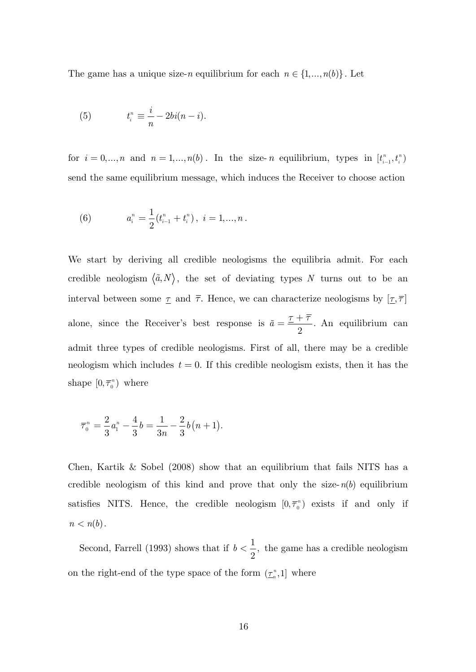The game has a unique size-*n* equilibrium for each  $n \in \{1, ..., n(b)\}$ . Let

(5) 
$$
t_i^n \equiv \frac{i}{n} - 2bi(n - i).
$$

for  $i = 0, ..., n$  and  $n = 1, ..., n(b)$ . In the size- *n* equilibrium, types in  $[t_{i-1}^n, t_i^n]$ send the same equilibrium message, which induces the Receiver to choose action

(6) 
$$
a_i^n = \frac{1}{2}(t_{i-1}^n + t_i^n), \ i = 1,...,n.
$$

We start by deriving all credible neologisms the equilibria admit. For each credible neologism  $\langle \tilde{a}, N \rangle$ , the set of deviating types N turns out to be an interval between some  $\underline{\tau}$  and  $\overline{\tau}$ . Hence, we can characterize neologisms by  $[\underline{\tau}, \overline{\tau}]$ alone, since the Receiver's best response is  $\tilde{a} = \frac{\tau + \overline{\tau}}{2}$ . An equilibrium can admit three types of credible neologisms. First of all, there may be a credible neologism which includes  $t = 0$ . If this credible neologism exists, then it has the shape  $[0, \overline{\tau}_{0}^{n})$  where

$$
\overline{\tau}_{0}^{n} = \frac{2}{3} a_{1}^{n} - \frac{4}{3} b = \frac{1}{3n} - \frac{2}{3} b (n+1).
$$

Chen, Kartik  $\&$  Sobel (2008) show that an equilibrium that fails NITS has a credible neologism of this kind and prove that only the size- $n(b)$  equilibrium satisfies NITS. Hence, the credible neologism  $[0, \overline{\tau}_0^n)$  exists if and only if  $n < n(b)$ .

Second, Farrell (1993) shows that if  $b < \frac{1}{2}$ , 2  $b < \frac{1}{2}$ , the game has a credible neologism on the right-end of the type space of the form  $(\underline{\tau}_n^n, 1]$  where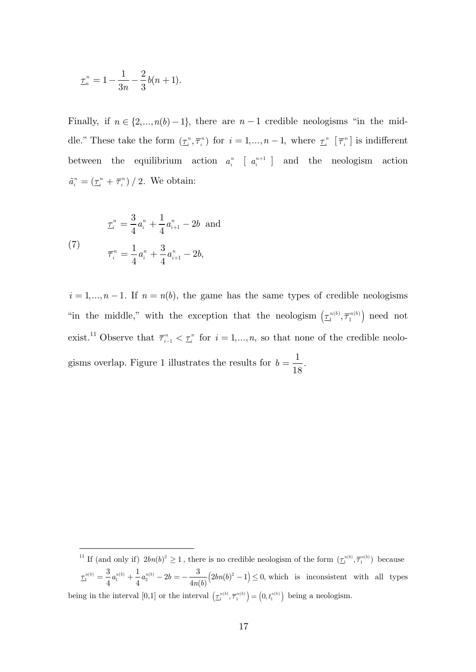$$
\underline{\tau}_n^n = 1 - \frac{1}{3n} - \frac{2}{3}b(n+1).
$$

Finally, if  $n \in \{2,..., n(b)-1\}$ , there are  $n-1$  credible neologisms "in the middle." These take the form  $(\underline{\tau}_i^n, \overline{\tau}_i^n)$  for  $i = 1, ..., n-1$ , where  $\underline{\tau}_i^n$   $[\overline{\tau}_i^n]$  is indifferent between the equilibrium action  $a_i^n$  [ $a_i^{n+1}$ ] and the neologism action  $\tilde{a}_i^n = (\underline{\tau}_i^n + \overline{\tau}_i^n) / 2$ . We obtain:

(7) 
$$
\begin{aligned} \mathcal{I}_i^n &= \frac{3}{4} a_i^n + \frac{1}{4} a_{i+1}^n - 2b \text{ and} \\ \mathcal{T}_i^n &= \frac{1}{4} a_i^n + \frac{3}{4} a_{i+1}^n - 2b, \end{aligned}
$$

-

 $i = 1, ..., n - 1$ . If  $n = n(b)$ , the game has the same types of credible neologisms "in the middle," with the exception that the neologism  $(\underline{\tau}_1^{n(b)}, \overline{\tau}_1^{n(b)})$  need not exist.<sup>11</sup> Observe that  $\overline{\tau}_{i-1}^n < \underline{\tau}_i^n$  for  $i = 1, ..., n$ , so that none of the credible neologisms overlap. Figure 1 illustrates the results for  $b = \frac{1}{18}$ .

<sup>&</sup>lt;sup>11</sup> If (and only if)  $2bn(b)^2 \geq 1$ , there is no credible neologism of the form  $(\underline{\tau}_1^{n(b)}, \overline{\tau}_1^{n(b)})$  because  $\underline{\tau}_1^{n(b)} = \frac{3}{4} a_1^{n(b)} + \frac{1}{4} a_2^{n(b)} - 2b = -\frac{3}{4n(b)} (2bn(b)^2 - 1) \leq 0$ , which is inconsistent with all types being in the interval  $[0,1]$  or the interval  $(\underline{\tau}_1^{n(b)}, \overline{\tau}_1^{n(b)}) = (0, t_1^{n(b)})$  being a neologism.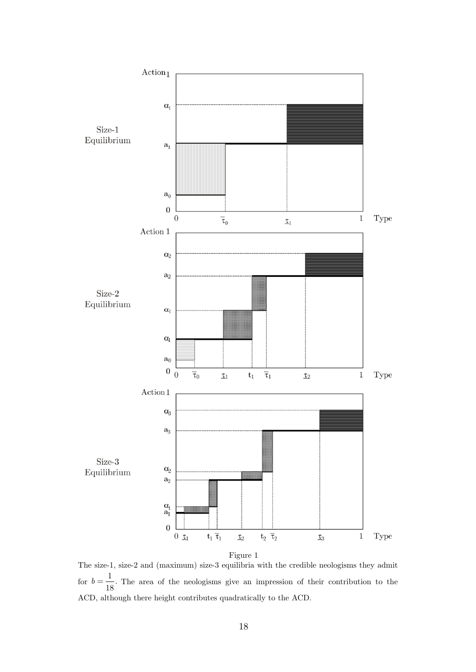

The size-1, size-2 and (maximum) size-3 equilibria with the credible neologisms they admit for  $b = \frac{1}{18}$ . The area of the neologisms give an impression of their contribution to the ACD, although there height contributes quadratically to the ACD.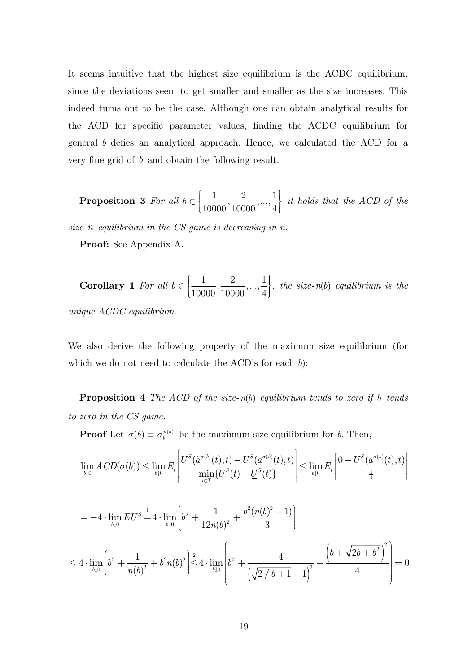It seems intuitive that the highest size equilibrium is the ACDC equilibrium, since the deviations seem to get smaller and smaller as the size increases. This indeed turns out to be the case. Although one can obtain analytical results for the ACD for specific parameter values, finding the ACDC equilibrium for general *b* defies an analytical approach. Hence, we calculated the ACD for a very fine grid of *b* and obtain the following result.

**Proposition 3** For all 
$$
b \in \left\{\frac{1}{10000}, \frac{2}{10000}, ..., \frac{1}{4}\right\}
$$
 it holds that the ACD of the

*size-n equilibrium in the CS game is decreasing in n.* 

**Proof:** See Appendix A.

**Corollary 1** For all 
$$
b \in \left\{\frac{1}{10000}, \frac{2}{10000}, \dots, \frac{1}{4}\right\}
$$
, the size-n(b) equilibrium is the

*unique ACDC equilibrium.* 

We also derive the following property of the maximum size equilibrium (for which we do not need to calculate the ACD's for each *b*):

**Proposition 4** *The ACD of the size-n(b) equilibrium tends to zero if b tends to zero in the CS game.* 

**Proof** Let  $\sigma(b) \equiv \sigma_b^{n(b)}$  be the maximum size equilibrium for *b*. Then,

$$
\lim_{b \downarrow 0} ACD(\sigma(b)) \le \lim_{b \downarrow 0} E_t \left[ \frac{U^S(\tilde{a}^{\sigma(b)}(t), t) - U^S(a^{\sigma(b)}(t), t)}{\min_{t \in T} \{\overline{U}^S(t) - \underline{U}^S(t)\}} \right] \le \lim_{b \downarrow 0} E_t \left[ \frac{0 - U^S(a^{\sigma(b)}(t), t)}{\frac{1}{4}} \right]
$$

$$
= -4 \cdot \lim_{b \downarrow 0} EU^S = 4 \cdot \lim_{b \downarrow 0} \left( b^2 + \frac{1}{12n(b)^2} + \frac{b^2(n(b)^2 - 1)}{3} \right)
$$
  

$$
\leq 4 \cdot \lim_{b \downarrow 0} \left( b^2 + \frac{1}{n(b)^2} + b^2n(b)^2 \right) \leq 4 \cdot \lim_{b \downarrow 0} \left( b^2 + \frac{4}{\left( \sqrt{2/b + 1} - 1 \right)^2} + \frac{\left( b + \sqrt{2b + b^2} \right)^2}{4} \right) = 0
$$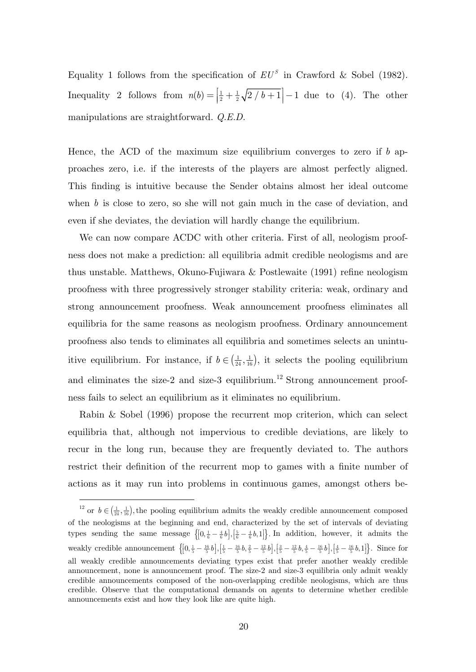Equality 1 follows from the specification of  $E U^s$  in Crawford & Sobel (1982). Inequality 2 follows from  $n(b) = \left[\frac{1}{2} + \frac{1}{2}\sqrt{2/b + 1}\right] - 1$  due to (4). The other manipulations are straightforward. *Q.E.D.*

Hence, the ACD of the maximum size equilibrium converges to zero if *b* approaches zero, i.e. if the interests of the players are almost perfectly aligned. This finding is intuitive because the Sender obtains almost her ideal outcome when  $b$  is close to zero, so she will not gain much in the case of deviation, and even if she deviates, the deviation will hardly change the equilibrium.

We can now compare ACDC with other criteria. First of all, neologism proofness does not make a prediction: all equilibria admit credible neologisms and are thus unstable. Matthews, Okuno-Fujiwara & Postlewaite (1991) refine neologism proofness with three progressively stronger stability criteria: weak, ordinary and strong announcement proofness. Weak announcement proofness eliminates all equilibria for the same reasons as neologism proofness. Ordinary announcement proofness also tends to eliminates all equilibria and sometimes selects an unintuitive equilibrium. For instance, if  $b \in (\frac{1}{24}, \frac{1}{16})$ , it selects the pooling equilibrium and eliminates the size-2 and size-3 equilibrium.<sup>12</sup> Strong announcement proofness fails to select an equilibrium as it eliminates no equilibrium.

Rabin & Sobel (1996) propose the recurrent mop criterion, which can select equilibria that, although not impervious to credible deviations, are likely to recur in the long run, because they are frequently deviated to. The authors restrict their definition of the recurrent mop to games with a finite number of actions as it may run into problems in continuous games, amongst others be-

-

<sup>&</sup>lt;sup>12</sup> or  $b \in (\frac{1}{24}, \frac{1}{16})$ , the pooling equilibrium admits the weakly credible announcement composed of the neologisms at the beginning and end, characterized by the set of intervals of deviating types sending the same message  $\left\{ \left[0, \frac{1}{6} - \frac{4}{6}b\right], \left[\frac{5}{6} - \frac{4}{6}b, 1\right] \right\}$ . In addition, however, it admits the weakly credible announcement  $\left\{ \left[0, \frac{1}{5} - \frac{16}{5}b\right], \left[\frac{1}{5} - \frac{16}{5}b, \frac{2}{5} - \frac{12}{5}b\right], \left[\frac{3}{5} - \frac{12}{5}b, \frac{4}{5} - \frac{16}{5}b\right], \left[\frac{4}{5} - \frac{16}{5}b, 1\right] \right\}$ . Since for all weakly credible announcements deviating types exist that prefer another weakly credible announcement, none is announcement proof. The size-2 and size-3 equilibria only admit weakly credible announcements composed of the non-overlapping credible neologisms, which are thus credible. Observe that the computational demands on agents to determine whether credible announcements exist and how they look like are quite high.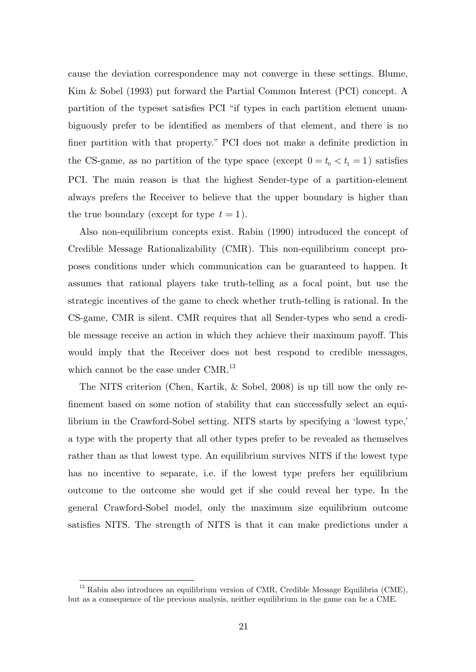cause the deviation correspondence may not converge in these settings. Blume, Kim & Sobel (1993) put forward the Partial Common Interest (PCI) concept. A partition of the typeset satisfies PCI "if types in each partition element unambiguously prefer to be identified as members of that element, and there is no finer partition with that property." PCI does not make a definite prediction in the CS-game, as no partition of the type space (except  $0 = t_0 < t_1 = 1$ ) satisfies PCI. The main reason is that the highest Sender-type of a partition-element always prefers the Receiver to believe that the upper boundary is higher than the true boundary (except for type  $t = 1$ ).

Also non-equilibrium concepts exist. Rabin (1990) introduced the concept of Credible Message Rationalizability (CMR). This non-equilibrium concept proposes conditions under which communication can be guaranteed to happen. It assumes that rational players take truth-telling as a focal point, but use the strategic incentives of the game to check whether truth-telling is rational. In the CS-game, CMR is silent. CMR requires that all Sender-types who send a credible message receive an action in which they achieve their maximum payoff. This would imply that the Receiver does not best respond to credible messages, which cannot be the case under  $CMR$ <sup>13</sup>

The NITS criterion (Chen, Kartik, & Sobel, 2008) is up till now the only refinement based on some notion of stability that can successfully select an equilibrium in the Crawford-Sobel setting. NITS starts by specifying a 'lowest type,' a type with the property that all other types prefer to be revealed as themselves rather than as that lowest type. An equilibrium survives NITS if the lowest type has no incentive to separate, i.e. if the lowest type prefers her equilibrium outcome to the outcome she would get if she could reveal her type. In the general Crawford-Sobel model, only the maximum size equilibrium outcome satisfies NITS. The strength of NITS is that it can make predictions under a

-

 $^{13}$  Rabin also introduces an equilibrium version of CMR, Credible Message Equilibria (CME), but as a consequence of the previous analysis, neither equilibrium in the game can be a CME.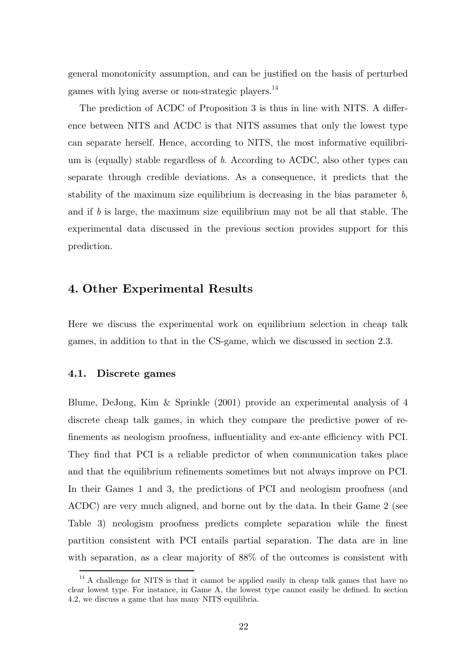general monotonicity assumption, and can be justified on the basis of perturbed games with lying averse or non-strategic players. $^{14}$ 

The prediction of ACDC of Proposition 3 is thus in line with NITS. A difference between NITS and ACDC is that NITS assumes that only the lowest type can separate herself. Hence, according to NITS, the most informative equilibrium is (equally) stable regardless of *b*. According to ACDC, also other types can separate through credible deviations. As a consequence, it predicts that the stability of the maximum size equilibrium is decreasing in the bias parameter *b*, and if *b* is large, the maximum size equilibrium may not be all that stable. The experimental data discussed in the previous section provides support for this prediction.

# **4. Other Experimental Results**

Here we discuss the experimental work on equilibrium selection in cheap talk games, in addition to that in the CS-game, which we discussed in section 2.3.

#### **4.1. Discrete games**

-

Blume, DeJong, Kim & Sprinkle (2001) provide an experimental analysis of 4 discrete cheap talk games, in which they compare the predictive power of refinements as neologism proofness, influentiality and ex-ante efficiency with PCI. They find that PCI is a reliable predictor of when communication takes place and that the equilibrium refinements sometimes but not always improve on PCI. In their Games 1 and 3, the predictions of PCI and neologism proofness (and ACDC) are very much aligned, and borne out by the data. In their Game 2 (see Table 3) neologism proofness predicts complete separation while the finest partition consistent with PCI entails partial separation. The data are in line with separation, as a clear majority of  $88\%$  of the outcomes is consistent with

 $14$  A challenge for NITS is that it cannot be applied easily in cheap talk games that have no clear lowest type. For instance, in Game A, the lowest type cannot easily be defined. In section 4.2, we discuss a game that has many NITS equilibria.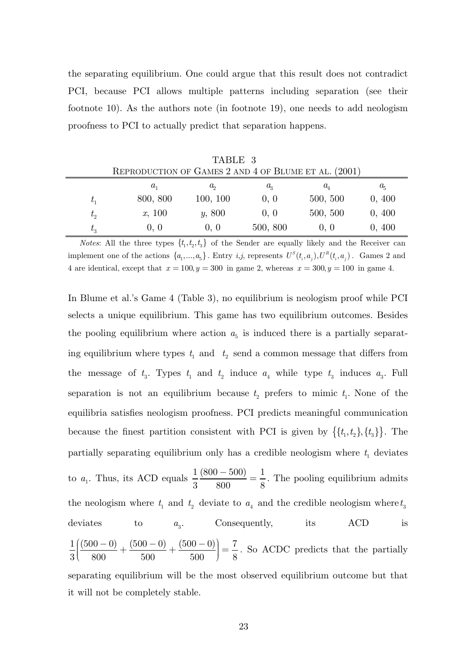the separating equilibrium. One could argue that this result does not contradict PCI, because PCI allows multiple patterns including separation (see their footnote 10). As the authors note (in footnote 19), one needs to add neologism proofness to PCI to actually predict that separation happens.

| TABLE 3                                              |          |             |             |                             |             |  |  |  |
|------------------------------------------------------|----------|-------------|-------------|-----------------------------|-------------|--|--|--|
| REPRODUCTION OF GAMES 2 AND 4 OF BLUME ET AL. (2001) |          |             |             |                             |             |  |  |  |
|                                                      | $a_{1}$  | $a_{\rm o}$ | $a_{\rm a}$ | $a_{\scriptscriptstyle{A}}$ | $a_{\rm s}$ |  |  |  |
| $t_{1}$                                              | 800, 800 | 100, 100    | 0, 0        | 500, 500                    | 0, 400      |  |  |  |
| $t_{2}$                                              | x, 100   | y, 800      | 0, 0        | 500, 500                    | 0, 400      |  |  |  |
| $t_{3}$                                              | 0, 0     | 0, 0        | 500, 800    | 0, 0                        | 0, 400      |  |  |  |

*Notes*: All the three types  $\{t_1, t_2, t_3\}$  of the Sender are equally likely and the Receiver can implement one of the actions  $\{a_1, ..., a_5\}$ . Entry *i,j*, represents  $U^S(t_i, a_i)$ ,  $U^R(t_i, a_i)$ . Games 2 and 4 are identical, except that  $x = 100, y = 300$  in game 2, whereas  $x = 300, y = 100$  in game 4.

In Blume et al.'s Game 4 (Table 3), no equilibrium is neologism proof while PCI selects a unique equilibrium. This game has two equilibrium outcomes. Besides the pooling equilibrium where action  $a<sub>5</sub>$  is induced there is a partially separating equilibrium where types  $t_1$  and  $t_2$  send a common message that differs from the message of  $t_3$ . Types  $t_1$  and  $t_2$  induce  $a_4$  while type  $t_3$  induces  $a_3$ . Full separation is not an equilibrium because  $t_2$  prefers to mimic  $t_1$ . None of the equilibria satisfies neologism proofness. PCI predicts meaningful communication because the finest partition consistent with PCI is given by  $\{\{t_1, t_2\}, \{t_3\}\}\.$  The partially separating equilibrium only has a credible neologism where  $t_1$  deviates to  $a_1$ . Thus, its ACD equals  $\frac{1}{3} \frac{(800 - 500)}{800} = \frac{1}{8}$  $\frac{(-500)}{2000} = \frac{1}{6}$ . The pooling equilibrium admits the neologism where  $t_1$  and  $t_2$  deviate to  $a_4$  and the credible neologism where  $t_3$ deviates to  $a_2$ . Consequently, its ACD is  $1((500-0)$   $(500-0)$   $(500-0)$  7  $3($  800 500 500  $)$  8  $\left(\frac{(500-0)}{800} + \frac{(500-0)}{500} + \frac{(500-0)}{500}\right) =$ . So ACDC predicts that the partially separating equilibrium will be the most observed equilibrium outcome but that it will not be completely stable.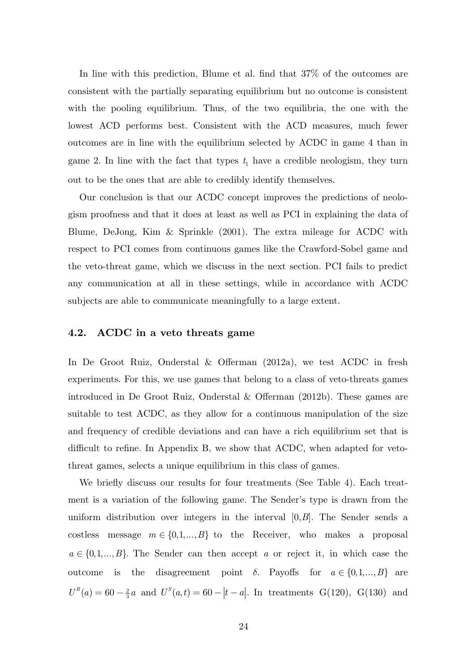In line with this prediction, Blume et al. find that 37% of the outcomes are consistent with the partially separating equilibrium but no outcome is consistent with the pooling equilibrium. Thus, of the two equilibria, the one with the lowest ACD performs best. Consistent with the ACD measures, much fewer outcomes are in line with the equilibrium selected by ACDC in game 4 than in game 2. In line with the fact that types  $t_1$  have a credible neologism, they turn out to be the ones that are able to credibly identify themselves.

Our conclusion is that our ACDC concept improves the predictions of neologism proofness and that it does at least as well as PCI in explaining the data of Blume, DeJong, Kim & Sprinkle (2001). The extra mileage for ACDC with respect to PCI comes from continuous games like the Crawford-Sobel game and the veto-threat game, which we discuss in the next section. PCI fails to predict any communication at all in these settings, while in accordance with ACDC subjects are able to communicate meaningfully to a large extent.

#### **4.2. ACDC in a veto threats game**

In De Groot Ruiz, Onderstal & Offerman (2012a), we test ACDC in fresh experiments. For this, we use games that belong to a class of veto-threats games introduced in De Groot Ruiz, Onderstal & Offerman (2012b). These games are suitable to test ACDC, as they allow for a continuous manipulation of the size and frequency of credible deviations and can have a rich equilibrium set that is difficult to refine. In Appendix B, we show that ACDC, when adapted for vetothreat games, selects a unique equilibrium in this class of games.

We briefly discuss our results for four treatments (See Table 4). Each treatment is a variation of the following game. The Sender's type is drawn from the uniform distribution over integers in the interval [0,*B*]. The Sender sends a costless message  $m \in \{0,1,...,B\}$  to the Receiver, who makes a proposal  $a \in \{0,1,...,B\}$ . The Sender can then accept *a* or reject it, in which case the outcome is the disagreement point  $\delta$ . Payoffs for  $a \in \{0,1,...,B\}$  are  $U^R(a) = 60 - \frac{2}{3}a$  and  $U^S(a,t) = 60 - |t - a|$ . In treatments G(120), G(130) and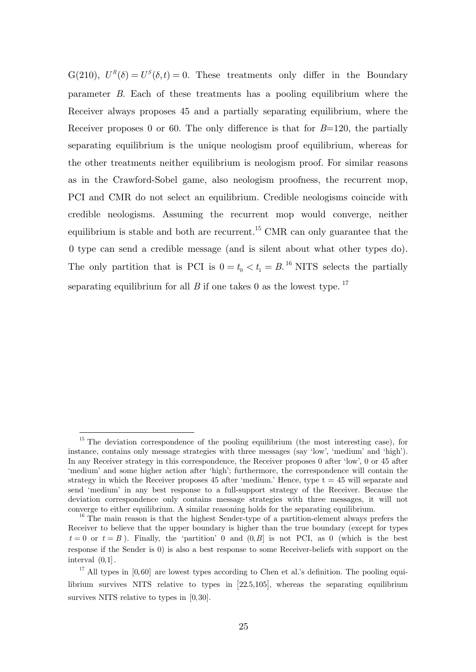G(210),  $U^R(\delta) = U^S(\delta, t) = 0$ . These treatments only differ in the Boundary parameter *B*. Each of these treatments has a pooling equilibrium where the Receiver always proposes 45 and a partially separating equilibrium, where the Receiver proposes 0 or 60. The only difference is that for *B*=120, the partially separating equilibrium is the unique neologism proof equilibrium, whereas for the other treatments neither equilibrium is neologism proof. For similar reasons as in the Crawford-Sobel game, also neologism proofness, the recurrent mop, PCI and CMR do not select an equilibrium. Credible neologisms coincide with credible neologisms. Assuming the recurrent mop would converge, neither equilibrium is stable and both are recurrent.<sup>15</sup> CMR can only guarantee that the 0 type can send a credible message (and is silent about what other types do). The only partition that is PCI is  $0 = t_0 < t_1 = B$ .<sup>16</sup> NITS selects the partially separating equilibrium for all *B* if one takes 0 as the lowest type.<sup>17</sup>

-

<sup>&</sup>lt;sup>15</sup> The deviation correspondence of the pooling equilibrium (the most interesting case), for instance, contains only message strategies with three messages (say 'low', 'medium' and 'high'). In any Receiver strategy in this correspondence, the Receiver proposes 0 after 'low', 0 or 45 after 'medium' and some higher action after 'high'; furthermore, the correspondence will contain the strategy in which the Receiver proposes  $45$  after 'medium.' Hence, type  $t = 45$  will separate and send 'medium' in any best response to a full-support strategy of the Receiver. Because the deviation correspondence only contains message strategies with three messages, it will not converge to either equilibrium. A similar reasoning holds for the separating equilibrium.  $16$  The main reason is that the highest Sender-type of a partition-element always prefers the

Receiver to believe that the upper boundary is higher than the true boundary (except for types  $t = 0$  or  $t = B$ ). Finally, the 'partition' 0 and  $(0, B]$  is not PCI, as 0 (which is the best response if the Sender is 0) is also a best response to some Receiver-beliefs with support on the interval (0,1].

 $17$  All types in [0,60] are lowest types according to Chen et al.'s definition. The pooling equilibrium survives NITS relative to types in  $[22.5,105]$ , whereas the separating equilibrium survives NITS relative to types in  $[0,30]$ .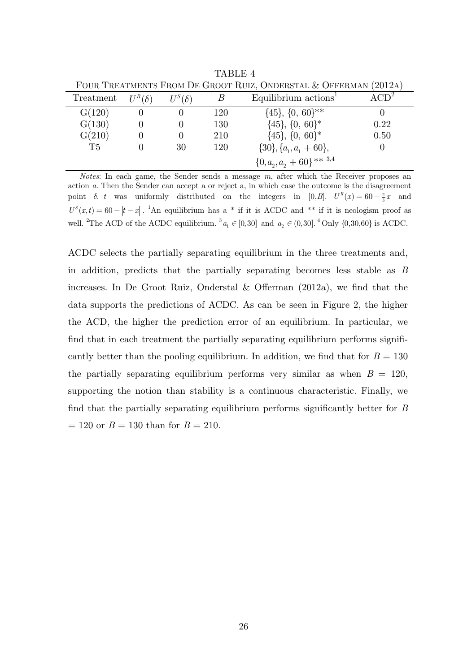| FOUR TREATMENTS FROM DE GROOT RUIZ, ONDERSTAL & OFFERMAN (2012A) |               |               |     |                                   |        |
|------------------------------------------------------------------|---------------|---------------|-----|-----------------------------------|--------|
| Treatment                                                        | $U^R(\delta)$ | $U^S(\delta)$ |     | Equilibrium actions <sup>1</sup>  | $CD^2$ |
| G(120)                                                           |               |               | 120 | $\{45\}, \{0, 60\}^{**}$          |        |
| G(130)                                                           |               |               | 130 | $\{45\}, \{0, 60\}^*$             | 0.22   |
| G(210)                                                           |               |               | 210 | $\{45\}, \{0, 60\}^*$             | 0.50   |
| T <sub>5</sub>                                                   |               | 30            | 120 | $\{30\}, \{a_{1}, a_{1} + 60\},\$ | O      |
|                                                                  |               |               |     | $\{0,a_{2},a_{2}+60\}$ ** 3.4     |        |

TABLE 4

*Notes*: In each game, the Sender sends a message *m*, after which the Receiver proposes an action *a*. Then the Sender can accept a or reject a, in which case the outcome is the disagreement point  $\delta$ . *t* was uniformly distributed on the integers in [0,*B*].  $U^R(x) = 60 - \frac{2}{3}x$  and  $U^{S}(x,t) = 60 - |t-x|$ . <sup>1</sup>An equilibrium has a \* if it is ACDC and \*\* if it is neologism proof as well. <sup>2</sup>The ACD of the ACDC equilibrium. <sup>3</sup> $a_1 \in [0,30]$  and  $a_2 \in (0,30]$ . <sup>4</sup>Only  $\{0,30,60\}$  is ACDC.

ACDC selects the partially separating equilibrium in the three treatments and, in addition, predicts that the partially separating becomes less stable as *B* increases. In De Groot Ruiz, Onderstal & Offerman (2012a), we find that the data supports the predictions of ACDC. As can be seen in Figure 2, the higher the ACD, the higher the prediction error of an equilibrium. In particular, we find that in each treatment the partially separating equilibrium performs significantly better than the pooling equilibrium. In addition, we find that for  $B = 130$ the partially separating equilibrium performs very similar as when  $B = 120$ , supporting the notion than stability is a continuous characteristic. Finally, we find that the partially separating equilibrium performs significantly better for *B*   $= 120$  or  $B = 130$  than for  $B = 210$ .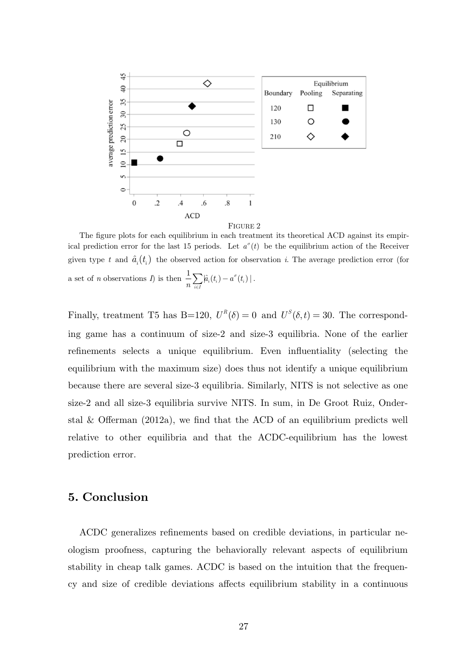

The figure plots for each equilibrium in each treatment its theoretical ACD against its empirical prediction error for the last 15 periods. Let  $a^{\sigma}(t)$  be the equilibrium action of the Receiver given type t and  $\hat{a}_i(t_i)$  the observed action for observation i. The average prediction error (for a set of *n* observations *I*) is then  $\frac{1}{\sqrt{a}}\sum_{i=1}^{\infty} (t_i - a^{\circ})$  $\frac{1}{n}\sum_{i\in I} \hat{a}_i(t_i) - a^\sigma(t_i) \mid$  $\frac{1}{n}\sum_{i\in I} \hat{a}_i(t_i) - a^\sigma(t_i) \mid.$ 

Finally, treatment T5 has B=120,  $U^R(\delta) = 0$  and  $U^S(\delta, t) = 30$ . The corresponding game has a continuum of size-2 and size-3 equilibria. None of the earlier refinements selects a unique equilibrium. Even influentiality (selecting the equilibrium with the maximum size) does thus not identify a unique equilibrium because there are several size-3 equilibria. Similarly, NITS is not selective as one size-2 and all size-3 equilibria survive NITS. In sum, in De Groot Ruiz, Onderstal & Offerman  $(2012a)$ , we find that the ACD of an equilibrium predicts well relative to other equilibria and that the ACDC-equilibrium has the lowest prediction error.

# **5. Conclusion**

ACDC generalizes refinements based on credible deviations, in particular neologism proofness, capturing the behaviorally relevant aspects of equilibrium stability in cheap talk games. ACDC is based on the intuition that the frequency and size of credible deviations affects equilibrium stability in a continuous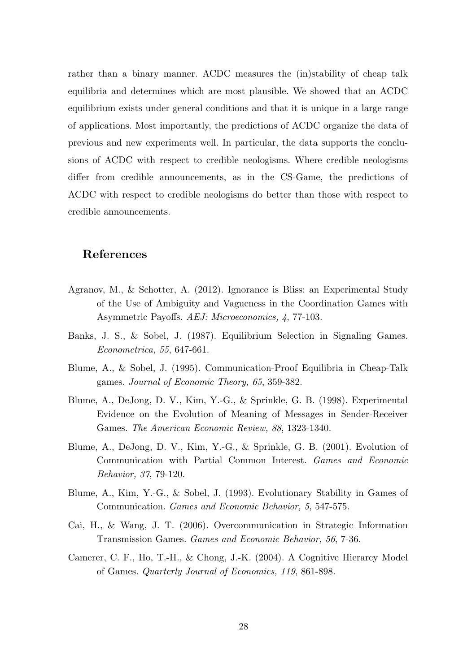rather than a binary manner. ACDC measures the (in)stability of cheap talk equilibria and determines which are most plausible. We showed that an ACDC equilibrium exists under general conditions and that it is unique in a large range of applications. Most importantly, the predictions of ACDC organize the data of previous and new experiments well. In particular, the data supports the conclusions of ACDC with respect to credible neologisms. Where credible neologisms differ from credible announcements, as in the CS-Game, the predictions of ACDC with respect to credible neologisms do better than those with respect to credible announcements.

# **References**

- Agranov, M., & Schotter, A. (2012). Ignorance is Bliss: an Experimental Study of the Use of Ambiguity and Vagueness in the Coordination Games with Asymmetric Payoffs. *AEJ: Microeconomics, 4*, 77-103.
- Banks, J. S., & Sobel, J. (1987). Equilibrium Selection in Signaling Games. *Econometrica, 55*, 647-661.
- Blume, A., & Sobel, J. (1995). Communication-Proof Equilibria in Cheap-Talk games. *Journal of Economic Theory, 65*, 359-382.
- Blume, A., DeJong, D. V., Kim, Y.-G., & Sprinkle, G. B. (1998). Experimental Evidence on the Evolution of Meaning of Messages in Sender-Receiver Games. *The American Economic Review, 88*, 1323-1340.
- Blume, A., DeJong, D. V., Kim, Y.-G., & Sprinkle, G. B. (2001). Evolution of Communication with Partial Common Interest. *Games and Economic Behavior, 37*, 79-120.
- Blume, A., Kim, Y.-G., & Sobel, J. (1993). Evolutionary Stability in Games of Communication. *Games and Economic Behavior, 5*, 547-575.
- Cai, H., & Wang, J. T. (2006). Overcommunication in Strategic Information Transmission Games. *Games and Economic Behavior, 56*, 7-36.
- Camerer, C. F., Ho, T.-H., & Chong, J.-K. (2004). A Cognitive Hierarcy Model of Games. *Quarterly Journal of Economics, 119*, 861-898.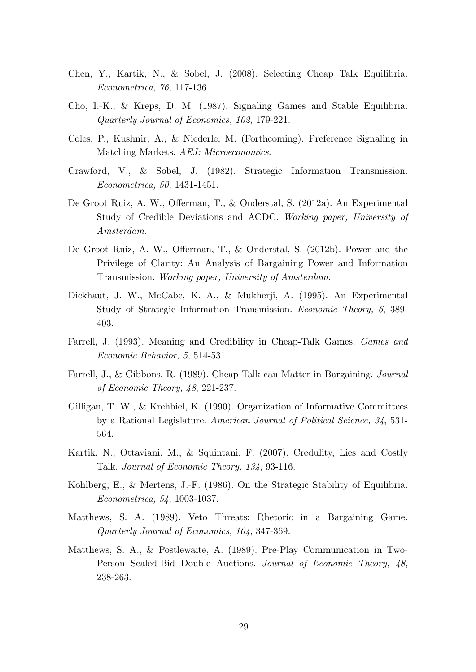- Chen, Y., Kartik, N., & Sobel, J. (2008). Selecting Cheap Talk Equilibria. *Econometrica, 76*, 117-136.
- Cho, I.-K., & Kreps, D. M. (1987). Signaling Games and Stable Equilibria. *Quarterly Journal of Economics, 102*, 179-221.
- Coles, P., Kushnir, A., & Niederle, M. (Forthcoming). Preference Signaling in Matching Markets. *AEJ: Microeconomics*.
- Crawford, V., & Sobel, J. (1982). Strategic Information Transmission. *Econometrica, 50*, 1431-1451.
- De Groot Ruiz, A. W., Offerman, T., & Onderstal, S. (2012a). An Experimental Study of Credible Deviations and ACDC. *Working paper, University of Amsterdam*.
- De Groot Ruiz, A. W., Offerman, T., & Onderstal, S. (2012b). Power and the Privilege of Clarity: An Analysis of Bargaining Power and Information Transmission. *Working paper, University of Amsterdam*.
- Dickhaut, J. W., McCabe, K. A., & Mukherji, A. (1995). An Experimental Study of Strategic Information Transmission. *Economic Theory, 6*, 389- 403.
- Farrell, J. (1993). Meaning and Credibility in Cheap-Talk Games. *Games and Economic Behavior, 5*, 514-531.
- Farrell, J., & Gibbons, R. (1989). Cheap Talk can Matter in Bargaining. *Journal of Economic Theory, 48*, 221-237.
- Gilligan, T. W., & Krehbiel, K. (1990). Organization of Informative Committees by a Rational Legislature. *American Journal of Political Science, 34*, 531- 564.
- Kartik, N., Ottaviani, M., & Squintani, F. (2007). Credulity, Lies and Costly Talk. *Journal of Economic Theory, 134*, 93-116.
- Kohlberg, E., & Mertens, J.-F. (1986). On the Strategic Stability of Equilibria. *Econometrica, 54*, 1003-1037.
- Matthews, S. A. (1989). Veto Threats: Rhetoric in a Bargaining Game. *Quarterly Journal of Economics, 104*, 347-369.
- Matthews, S. A., & Postlewaite, A. (1989). Pre-Play Communication in Two-Person Sealed-Bid Double Auctions. *Journal of Economic Theory, 48*, 238-263.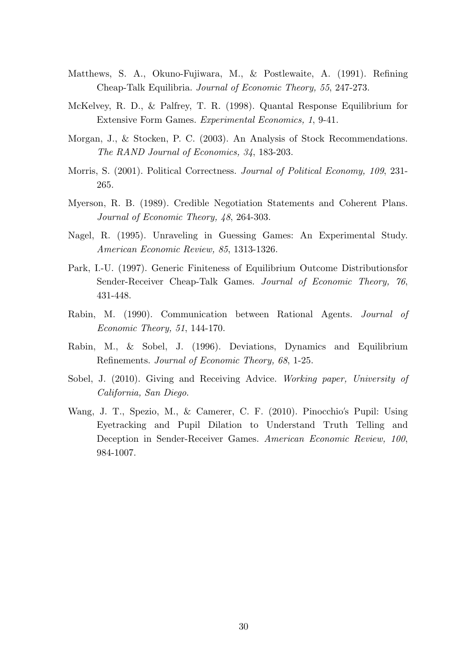- Matthews, S. A., Okuno-Fujiwara, M., & Postlewaite, A. (1991). Refining Cheap-Talk Equilibria. *Journal of Economic Theory, 55*, 247-273.
- McKelvey, R. D., & Palfrey, T. R. (1998). Quantal Response Equilibrium for Extensive Form Games. *Experimental Economics, 1*, 9-41.
- Morgan, J., & Stocken, P. C. (2003). An Analysis of Stock Recommendations. *The RAND Journal of Economics, 34*, 183-203.
- Morris, S. (2001). Political Correctness. *Journal of Political Economy, 109*, 231- 265.
- Myerson, R. B. (1989). Credible Negotiation Statements and Coherent Plans. *Journal of Economic Theory, 48*, 264-303.
- Nagel, R. (1995). Unraveling in Guessing Games: An Experimental Study. *American Economic Review, 85*, 1313-1326.
- Park, I.-U. (1997). Generic Finiteness of Equilibrium Outcome Distributionsfor Sender-Receiver Cheap-Talk Games. *Journal of Economic Theory, 76*, 431-448.
- Rabin, M. (1990). Communication between Rational Agents. *Journal of Economic Theory, 51*, 144-170.
- Rabin, M., & Sobel, J. (1996). Deviations, Dynamics and Equilibrium Refinements. *Journal of Economic Theory, 68*, 1-25.
- Sobel, J. (2010). Giving and Receiving Advice. *Working paper, University of California, San Diego*.
- Wang, J. T., Spezio, M., & Camerer, C. F. (2010). Pinocchio's Pupil: Using Eyetracking and Pupil Dilation to Understand Truth Telling and Deception in Sender-Receiver Games. *American Economic Review, 100*, 984-1007.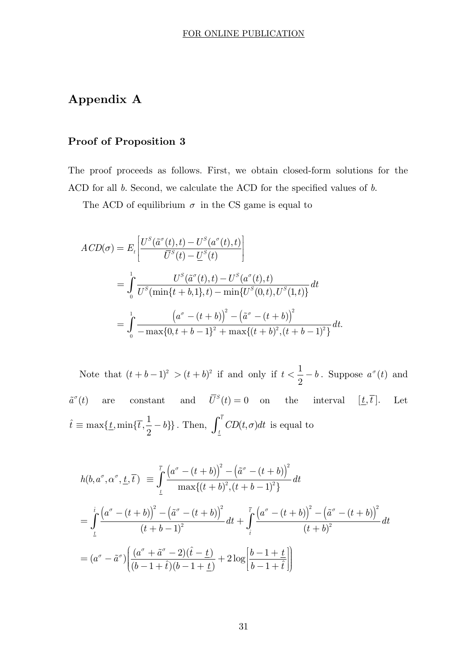# **Appendix A**

# **Proof of Proposition 3**

The proof proceeds as follows. First, we obtain closed-form solutions for the ACD for all *b*. Second, we calculate the ACD for the specified values of *b*.

The ACD of equilibrium  $\sigma$  in the CS game is equal to

$$
ACD(\sigma) = E_t \left[ \frac{U^S(\tilde{a}^{\sigma}(t), t) - U^S(a^{\sigma}(t), t)}{\overline{U}^S(t) - \underline{U}^S(t)} \right]
$$
  
= 
$$
\int_0^1 \frac{U^S(\tilde{a}^{\sigma}(t), t) - U^S(a^{\sigma}(t), t)}{U^S(\min\{t + b, 1\}, t) - \min\{U^S(0, t), U^S(1, t)\}} dt
$$
  
= 
$$
\int_0^1 \frac{\left(a^{\sigma} - (t + b)\right)^2 - \left(\tilde{a}^{\sigma} - (t + b)\right)^2}{-\max\{0, t + b - 1\}^2 + \max\{(t + b)^2, (t + b - 1)^2\}} dt.
$$

Note that  $(t + b - 1)^2 > (t + b)^2$  if and only if  $t < \frac{1}{2}$ 2  $t < \frac{1}{a} - b$ . Suppose  $a^{\sigma}(t)$  and  $\tilde{a}^{\sigma}(t)$  are constant and  $\overline{U}^{S}(t) = 0$  on the interval  $[\underline{t}, \overline{t}]$ . Let  $\hat{t} \equiv \max\{\underline{t}, \min\{\overline{t}, \frac{1}{2} - b\}\}\.$  Then,  $\int_{\underline{t}}^{\overline{t}} CD(t, \sigma)$  $\int_{t}^{\infty} CD(t, \sigma) dt$  is equal to

$$
h(b, a^{\sigma}, \alpha^{\sigma}, \underline{t}, \overline{t}) = \int_{\underline{t}}^{\overline{t}} \frac{(a^{\sigma} - (t+b))^{2} - (\tilde{a}^{\sigma} - (t+b))^{2}}{\max\{(t+b)^{2}, (t+b-1)^{2}\}} dt
$$
  
\n
$$
= \int_{\underline{t}}^{\hat{t}} \frac{(a^{\sigma} - (t+b))^{2} - (\tilde{a}^{\sigma} - (t+b))^{2}}{(t+b-1)^{2}} dt + \int_{\hat{t}}^{\overline{t}} \frac{(a^{\sigma} - (t+b))^{2} - (\tilde{a}^{\sigma} - (t+b))^{2}}{(t+b)^{2}} dt
$$
  
\n
$$
= (a^{\sigma} - \tilde{a}^{\sigma}) \left( \frac{(a^{\sigma} + \tilde{a}^{\sigma} - 2)(\hat{t} - \underline{t})}{(b-1+\hat{t})(b-1+\underline{t})} + 2 \log \left[ \frac{b-1+\underline{t}}{b-1+\hat{t}} \right] \right)
$$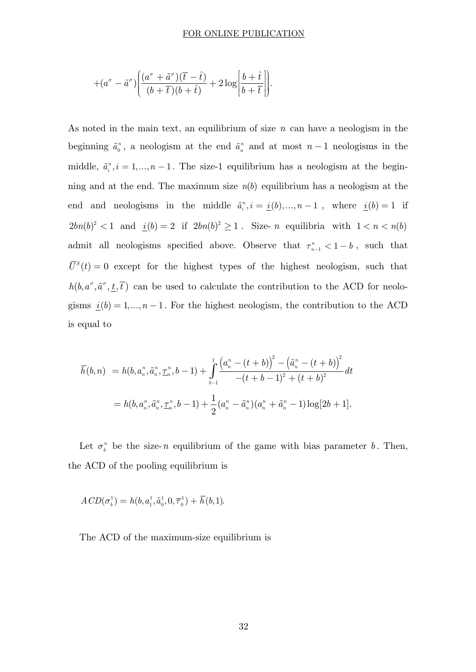#### FOR ONLINE PUBLICATION

$$
+(a^{\sigma}-\tilde{a}^{\sigma})\Bigg(\frac{(a^{\sigma}+\tilde{a}^{\sigma})(\overline{t}-\hat{t})}{(b+\overline{t})(b+\hat{t})}+2\log\Bigg[\frac{b+\hat{t}}{b+\overline{t}}\Bigg]\Bigg].
$$

As noted in the main text, an equilibrium of size *n* can have a neologism in the beginning  $\tilde{a}_0^n$ , a neologism at the end  $\tilde{a}_n^n$  and at most  $n-1$  neologisms in the middle,  $\tilde{a}_i^n, i = 1,...,n-1$ . The size-1 equilibrium has a neologism at the beginning and at the end. The maximum size  $n(b)$  equilibrium has a neologism at the end and neologisms in the middle  $\tilde{a}_i^n, i = \underline{i}(b), ..., n-1$ , where  $\underline{i}(b) = 1$  if  $2bn(b)^2 < 1$  and  $\underline{i}(b) = 2$  if  $2bn(b)^2 \ge 1$ . Size- *n* equilibria with  $1 < n < n(b)$ admit all neologisms specified above. Observe that  $\tau_{n-1}^n < 1 - b$ , such that  $\overline{U}^S(t) = 0$  except for the highest types of the highest neologism, such that  $h(b, a^{\sigma}, \tilde{a}^{\sigma}, \underline{t}, \overline{t})$  can be used to calculate the contribution to the ACD for neologisms  $\underline{i}(b) = 1, ..., n-1$ . For the highest neologism, the contribution to the ACD is equal to

$$
\overline{h}(b,n) = h(b, a_n^n, \tilde{a}_n^n, \underline{\tau}_n^n, b-1) + \int_{b-1}^1 \frac{\left(a_n^n - (t+b)\right)^2 - \left(\tilde{a}_n^n - (t+b)\right)^2}{-(t+b-1)^2 + (t+b)^2} dt
$$
  
=  $h(b, a_n^n, \tilde{a}_n^n, \underline{\tau}_n^n, b-1) + \frac{1}{2}(a_n^n - \tilde{a}_n^n)(a_n^n + \tilde{a}_n^n - 1) \log[2b+1].$ 

Let  $\sigma_b^n$  be the size-*n* equilibrium of the game with bias parameter *b*. Then, the ACD of the pooling equilibrium is

$$
ACD(\sigma_b^1) = h(b, a_1^1, \tilde{a}_0^1, 0, \overline{\tau}_0^1) + \overline{h}(b, 1).
$$

The ACD of the maximum-size equilibrium is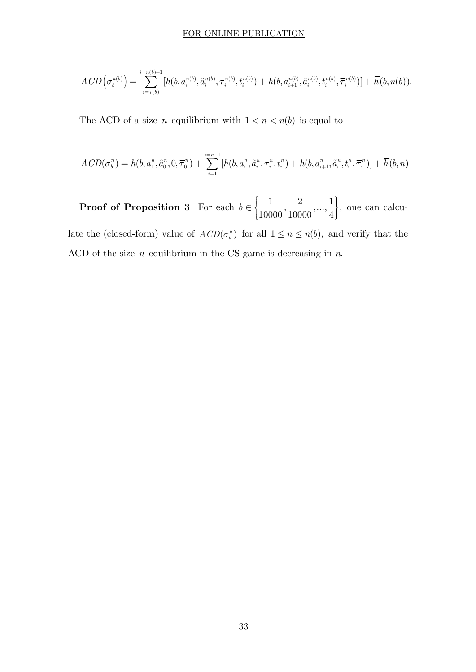#### FOR ONLINE PUBLICATION

$$
ACD(\sigma_b^{n(b)}) = \sum_{i=\underline{i}(b)}^{i=n(b)-1} [h(b, a_i^{n(b)}, \tilde{a}_i^{n(b)}, \underline{\tau}_i^{n(b)}, t_i^{n(b)}) + h(b, a_{i+1}^{n(b)}, \tilde{a}_i^{n(b)}, t_i^{n(b)}, \overline{\tau}_i^{n(b)})] + \overline{h}(b, n(b)).
$$

The ACD of a size-*n* equilibrium with  $1 < n < n(b)$  is equal to

$$
ACD(\sigma^n_b) = h(b, a^n_i, \tilde{a}^n_0, 0, \overline{\tau}^n_0) + \sum_{i=1}^{i=n-1} [h(b, a^n_i, \tilde{a}^n_i, \underline{\tau}^n_i, t_i^n) + h(b, a^n_{i+1}, \tilde{a}^n_i, t_i^n, \overline{\tau}^n_i)] + \overline{h}(b, n)
$$

**Proof of Proposition 3** For each  $b \in \left\{\frac{1}{10000}, \frac{2}{10000}, ..., \frac{1}{4}\right\},\$  $\in \left\{\frac{1}{10000}, \frac{2}{10000}, \ldots, \frac{1}{4}\right\}$  one can calculate the (closed-form) value of  $ACD(\sigma_i^n)$  for all  $1 \leq n \leq n(b)$ , and verify that the ACD of the size-*n* equilibrium in the CS game is decreasing in *n*.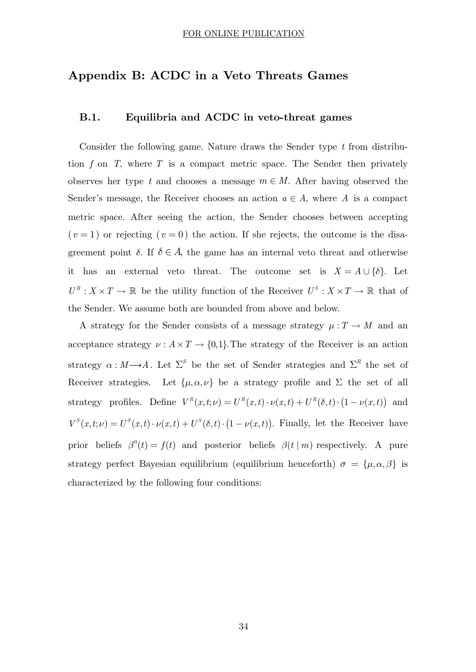# **Appendix B: ACDC in a Veto Threats Games**

## **B.1. Equilibria and ACDC in veto-threat games**

Consider the following game. Nature draws the Sender type *t* from distribution *f* on *T*, where *T* is a compact metric space. The Sender then privately observes her type *t* and chooses a message  $m \in M$ . After having observed the Sender's message, the Receiver chooses an action  $a \in A$ , where A is a compact metric space. After seeing the action, the Sender chooses between accepting  $(v=1)$  or rejecting  $(v=0)$  the action. If she rejects, the outcome is the disagreement point  $\delta$ . If  $\delta \in A$ , the game has an internal veto threat and otherwise it has an external veto threat. The outcome set is  $X = A \cup \{\delta\}$ . Let  $U^R: X \times T \to \mathbb{R}$  be the utility function of the Receiver  $U^S: X \times T \to \mathbb{R}$  that of the Sender. We assume both are bounded from above and below.

A strategy for the Sender consists of a message strategy  $\mu: T \to M$  and an acceptance strategy  $\nu : A \times T \to \{0,1\}$ . The strategy of the Receiver is an action strategy  $\alpha : M \longrightarrow A$ . Let  $\Sigma^S$  be the set of Sender strategies and  $\Sigma^R$  the set of Receiver strategies. Let  $\{\mu, \alpha, \nu\}$  be a strategy profile and  $\Sigma$  the set of all strategy profiles. Define  $V^R(x,t;\nu) = U^R(x,t) \cdot \nu(x,t) + U^R(\delta,t) \cdot (1 - \nu(x,t))$  and  $V^{S}(x,t;\nu) = U^{S}(x,t) \cdot \nu(x,t) + U^{S}(\delta,t) \cdot (1 - \nu(x,t)).$  Finally, let the Receiver have prior beliefs  $\beta^{0}(t) = f(t)$  and posterior beliefs  $\beta(t | m)$  respectively. A pure strategy perfect Bayesian equilibrium (equilibrium henceforth)  $\sigma = {\mu, \alpha, \beta}$  is characterized by the following four conditions: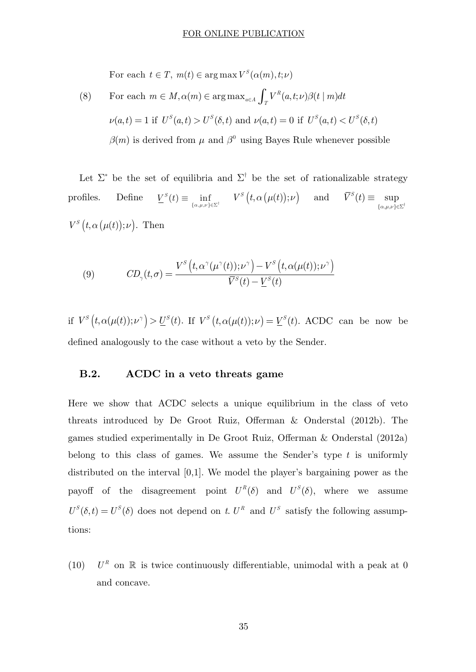For each  $t \in T$ ,  $m(t) \in \arg \max V^S(\alpha(m), t; \nu)$ 

(8) For each 
$$
m \in M
$$
,  $\alpha(m) \in \arg \max_{a \in A} \int_T V^R(a, t; \nu) \beta(t | m) dt$   
\n $\nu(a, t) = 1$  if  $U^S(a, t) > U^S(\delta, t)$  and  $\nu(a, t) = 0$  if  $U^S(a, t) < U^S(\delta, t)$   
\n $\beta(m)$  is derived from  $\mu$  and  $\beta^0$  using Bayes Rule whenever possible

Let  $\Sigma^*$  be the set of equilibria and  $\Sigma^{\dagger}$  be the set of rationalizable strategy profiles. Define  $\underline{V}^S(t) \equiv \inf_{\{\alpha,\mu,\nu\}\in\Sigma^{\dagger}} V^S(t,\alpha(\mu(t));\nu)$  and  $\overline{V}^S(t) \equiv \sup_{\{\alpha,\mu,\nu\}\in\Sigma}$  $\equiv$  $\{\alpha,\mu,\nu\} \in \Sigma^{\dagger}$  $\overline{V}^s(t) \equiv \text{sup}$  $V^S(t, \alpha(\mu(t)); \nu)$ . Then

(9) 
$$
CD_{\gamma}(t,\sigma) = \frac{V^S\left(t,\alpha^{\gamma}(\mu^{\gamma}(t));\nu^{\gamma}\right) - V^S\left(t,\alpha(\mu(t));\nu^{\gamma}\right)}{\overline{V}^S(t) - \underline{V}^S(t)}
$$

if  $V^S(t, \alpha(\mu(t)); \nu^{\gamma}) > U^S(t)$ . If  $V^S(t, \alpha(\mu(t)); \nu) = V^S(t)$ . ACDC can be now be defined analogously to the case without a veto by the Sender.

## **B.2. ACDC in a veto threats game**

Here we show that ACDC selects a unique equilibrium in the class of veto threats introduced by De Groot Ruiz, Offerman & Onderstal (2012b). The games studied experimentally in De Groot Ruiz, Offerman & Onderstal (2012a) belong to this class of games. We assume the Sender's type *t* is uniformly distributed on the interval [0,1]. We model the player's bargaining power as the payoff of the disagreement point  $U^R(\delta)$  and  $U^S(\delta)$ , where we assume  $U^{S}(\delta, t) = U^{S}(\delta)$  does not depend on *t*.  $U^{R}$  and  $U^{S}$  satisfy the following assumptions:

(10)  $U^R$  on  $\mathbb R$  is twice continuously differentiable, unimodal with a peak at 0 and concave.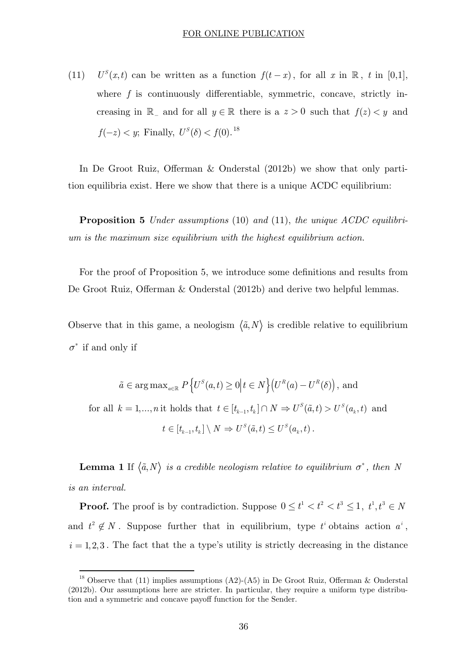(11)  $U^S(x,t)$  can be written as a function  $f(t-x)$ , for all *x* in  $\mathbb{R}$ , *t* in [0,1], where f is continuously differentiable, symmetric, concave, strictly increasing in  $\mathbb{R}_-$  and for all  $y \in \mathbb{R}$  there is a  $z > 0$  such that  $f(z) < y$  and  $f(-z) < y$ ; Finally,  $U^{S}(\delta) < f(0).^{18}$ 

In De Groot Ruiz, Offerman & Onderstal (2012b) we show that only partition equilibria exist. Here we show that there is a unique ACDC equilibrium:

**Proposition 5** *Under assumptions* (10) *and* (11), *the unique ACDC equilibrium is the maximum size equilibrium with the highest equilibrium action.*

For the proof of Proposition 5, we introduce some definitions and results from De Groot Ruiz, Offerman & Onderstal (2012b) and derive two helpful lemmas.

Observe that in this game, a neologism  $\langle \tilde{a}, N \rangle$  is credible relative to equilibrium  $\sigma^*$  if and only if

$$
\tilde{a} \in \arg \max_{a \in \mathbb{R}} P\left\{ U^S(a, t) \ge 0 \middle| t \in N \right\} \left( U^R(a) - U^R(\delta) \right), \text{ and}
$$
\n
$$
\text{for all } k = 1, \dots, n \text{ it holds that } t \in [t_{k-1}, t_k] \cap N \Rightarrow U^S(\tilde{a}, t) > U^S(a_k, t) \text{ and}
$$
\n
$$
t \in [t_{k-1}, t_k] \setminus N \Rightarrow U^S(\tilde{a}, t) \le U^S(a_k, t).
$$

**Lemma 1** If  $\langle \tilde{a}, N \rangle$  *is a credible neologism relative to equilibrium*  $\sigma^*$ , *then* N *is an interval.*

**Proof.** The proof is by contradiction. Suppose  $0 \le t^1 < t^2 < t^3 \le 1$ ,  $t^1, t^3 \in N$ and  $t^2 \notin N$ . Suppose further that in equilibrium, type  $t^i$  obtains action  $a^i$ ,  $i = 1, 2, 3$ . The fact that the a type's utility is strictly decreasing in the distance

-

<sup>&</sup>lt;sup>18</sup> Observe that (11) implies assumptions (A2)-(A5) in De Groot Ruiz, Offerman & Onderstal (2012b). Our assumptions here are stricter. In particular, they require a uniform type distribution and a symmetric and concave payoff function for the Sender.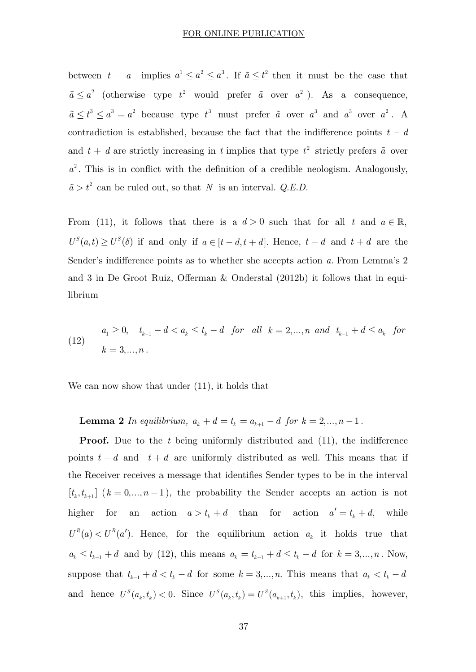between  $t - a$  implies  $a^1 \le a^2 \le a^3$ . If  $\tilde{a} \le t^2$  then it must be the case that  $\tilde{a} \leq a^2$  (otherwise type  $t^2$  would prefer  $\tilde{a}$  over  $a^2$ ). As a consequence,  $\tilde{a} \leq t^3 \leq a^3 = a^2$  because type  $t^3$  must prefer  $\tilde{a}$  over  $a^3$  and  $a^3$  over  $a^2$ . A contradiction is established, because the fact that the indifference points  $t - d$ and  $t + d$  are strictly increasing in *t* implies that type  $t^2$  strictly prefers  $\tilde{a}$  over  $a<sup>2</sup>$ . This is in conflict with the definition of a credible neologism. Analogously,  $\tilde{a} > t^2$  can be ruled out, so that *N* is an interval. *Q.E.D.* 

From (11), it follows that there is a  $d > 0$  such that for all  $t$  and  $a \in \mathbb{R}$ ,  $U^{S}(a,t) \ge U^{S}(\delta)$  if and only if  $a \in [t-d, t+d]$ . Hence,  $t-d$  and  $t+d$  are the Sender's indifference points as to whether she accepts action *a.* From Lemma's 2 and 3 in De Groot Ruiz, Offerman & Onderstal (2012b) it follows that in equilibrium

(12) 
$$
a_1 \ge 0
$$
,  $t_{k-1} - d < a_k \le t_k - d$  for all  $k = 2,...,n$  and  $t_{k-1} + d \le a_k$  for  $k = 3,...,n$ .

We can now show that under (11), it holds that

**Lemma 2** *In equilibrium,*  $a_k + d = t_k = a_{k+1} - d$  *for*  $k = 2,..., n - 1$ .

**Proof.** Due to the *t* being uniformly distributed and (11), the indifference points  $t - d$  and  $t + d$  are uniformly distributed as well. This means that if the Receiver receives a message that identifies Sender types to be in the interval  $[t_k, t_{k+1}]$   $(k = 0, ..., n-1)$ , the probability the Sender accepts an action is not higher for an action  $a > t_k + d$  than for action  $a' = t_k + d$ , while  $U^R(a) < U^R(a')$ . Hence, for the equilibrium action  $a_k$  it holds true that  $a_k \le t_{k-1} + d$  and by (12), this means  $a_k = t_{k-1} + d \le t_k - d$  for  $k = 3,...,n$ . Now, suppose that  $t_{k-1} + d < t_k - d$  for some  $k = 3, ..., n$ . This means that  $a_k < t_k - d$ and hence  $U^s(a_k, t_k) < 0$ . Since  $U^s(a_k, t_k) = U^s(a_{k+1}, t_k)$ , this implies, however,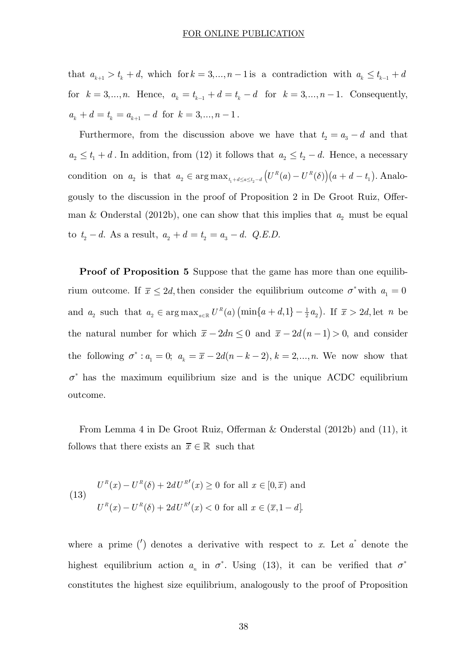that  $a_{k+1} > t_k + d$ , which for  $k = 3, ..., n-1$  is a contradiction with  $a_k \leq t_{k-1} + d$ for  $k = 3,...,n$ . Hence,  $a_k = t_{k-1} + d = t_k - d$  for  $k = 3,...,n-1$ . Consequently,  $a_k + d = t_k = a_{k+1} - d$  for  $k = 3,..., n - 1$ .

Furthermore, from the discussion above we have that  $t_2 = a_3 - d$  and that  $a_2 \leq t_1 + d$ . In addition, from (12) it follows that  $a_2 \leq t_2 - d$ . Hence, a necessary condition on  $a_2$  is that  $a_2 \in \arg \max_{t_1 + d \le a \le t_2 - d} (U^R(a) - U^R(\delta))(a + d - t_1)$ . Analogously to the discussion in the proof of Proposition 2 in De Groot Ruiz, Offerman & Onderstal (2012b), one can show that this implies that  $a_2$  must be equal to  $t_2 - d$ . As a result,  $a_2 + d = t_2 = a_3 - d$ . *Q.E.D.* 

**Proof of Proposition 5** Suppose that the game has more than one equilibrium outcome. If  $\bar{x} \leq 2d$ , then consider the equilibrium outcome  $\sigma^*$  with  $a_1 = 0$ and  $a_2$  such that  $a_2 \in \arg \max_{a \in \mathbb{R}} U^R(a) \left( \min\{a+d,1\} - \frac{1}{2}a_2 \right)$ . If  $\overline{x} > 2d$ , let *n* be the natural number for which  $\bar{x} - 2dn \leq 0$  and  $\bar{x} - 2d(n-1) > 0$ , and consider the following  $\sigma^*$ :  $a_1 = 0$ ;  $a_k = \bar{x} - 2d(n - k - 2)$ ,  $k = 2,...,n$ . We now show that  $\sigma^*$  has the maximum equilibrium size and is the unique ACDC equilibrium outcome.

From Lemma 4 in De Groot Ruiz, Offerman & Onderstal (2012b) and (11), it follows that there exists an  $\bar{x} \in \mathbb{R}$  such that

(13) 
$$
U^{R}(x) - U^{R}(\delta) + 2dU^{R'}(x) \ge 0 \text{ for all } x \in [0, \overline{x}) \text{ and}
$$

$$
U^{R}(x) - U^{R}(\delta) + 2dU^{R'}(x) < 0 \text{ for all } x \in (\overline{x}, 1 - d].
$$

where a prime  $\binom{r}{k}$  denotes a derivative with respect to *x*. Let  $\alpha^*$  denote the highest equilibrium action  $a_n$  in  $\sigma^*$ . Using (13), it can be verified that  $\sigma^*$ constitutes the highest size equilibrium, analogously to the proof of Proposition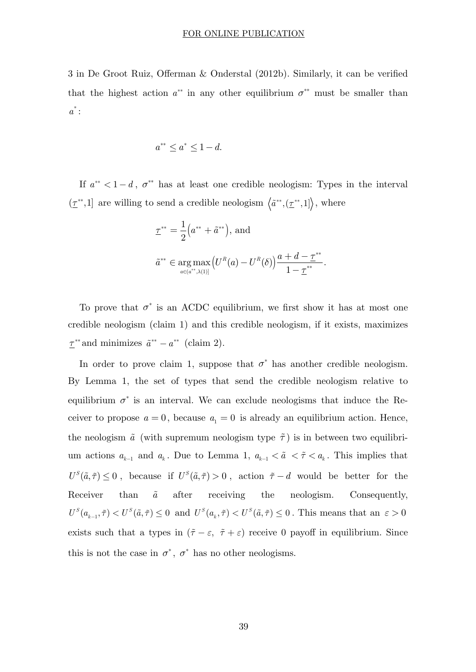#### FOR ONLINE PUBLICATION

3 in De Groot Ruiz, Offerman & Onderstal (2012b). Similarly, it can be verified that the highest action  $a^{**}$  in any other equilibrium  $\sigma^{**}$  must be smaller than  $a^*$  :

$$
a^{**} \le a^* \le 1 - d.
$$

If  $a^{**} < 1-d$ ,  $\sigma^{**}$  has at least one credible neologism: Types in the interval  $(\underline{\tau}^{**}, 1]$  are willing to send a credible neologism  $\langle \tilde{a}^{**}, (\underline{\tau}^{**}, 1] \rangle$ , where

$$
\underline{\tau}^{**} = \frac{1}{2} (a^{**} + \tilde{a}^{**}), \text{ and}
$$
  

$$
\tilde{a}^{**} \in \underset{a \in (a^{**}, \lambda(1)]}{\arg \max} (U^R(a) - U^R(\delta)) \frac{a + d - \underline{\tau}^{**}}{1 - \underline{\tau}^{**}}.
$$

To prove that  $\sigma^*$  is an ACDC equilibrium, we first show it has at most one credible neologism (claim 1) and this credible neologism, if it exists, maximizes  $\tau^{**}$  and minimizes  $\tilde{a}^{**} - a^{**}$  (claim 2).

In order to prove claim 1, suppose that  $\sigma^*$  has another credible neologism. By Lemma 1, the set of types that send the credible neologism relative to equilibrium  $\sigma^*$  is an interval. We can exclude neologisms that induce the Receiver to propose  $a = 0$ , because  $a_1 = 0$  is already an equilibrium action. Hence, the neologism  $\tilde{a}$  (with supremum neologism type  $\tilde{\tau}$ ) is in between two equilibrium actions  $a_{k-1}$  and  $a_k$ . Due to Lemma 1,  $a_{k-1} < \tilde{a} < \tilde{\tau} < a_k$ . This implies that  $U^S(\tilde{a}, \tilde{\tau}) \leq 0$ , because if  $U^S(\tilde{a}, \tilde{\tau}) > 0$ , action  $\tilde{\tau} - d$  would be better for the Receiver than  $\tilde{a}$  after receiving the neologism. Consequently,  $U^S(a_{k-1}, \tilde{\tau}) < U^S(\tilde{a}, \tilde{\tau}) \leq 0$  and  $U^S(a_k, \tilde{\tau}) < U^S(\tilde{a}, \tilde{\tau}) \leq 0$ . This means that an  $\varepsilon > 0$ exists such that a types in  $(\tilde{\tau} - \varepsilon, \tilde{\tau} + \varepsilon)$  receive 0 payoff in equilibrium. Since this is not the case in  $\sigma^*$ ,  $\sigma^*$  has no other neologisms.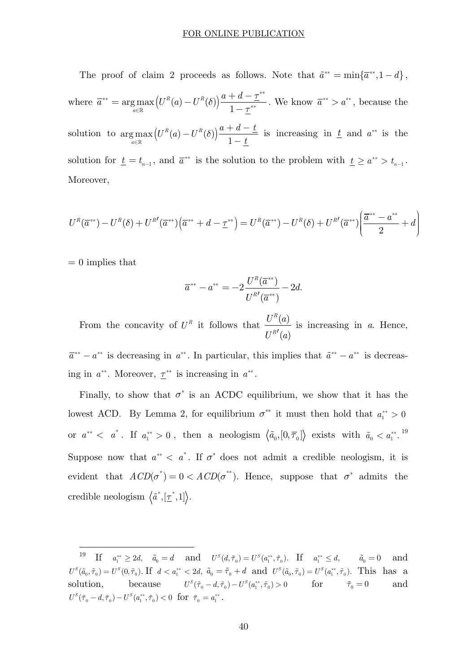The proof of claim 2 proceeds as follows. Note that  $\tilde{a}^{**} = \min{\{\overline{a}^{**}, 1 - d\}}$ , where  $\overline{a}^{**} = \argmax_{a \in \mathbb{R}} (U^R(a) - U^R(b)) \frac{a + b}{1}$ *a*  $\bar{a}^{**} = \arg \max (U^R(a) - U^R(\delta)) \frac{a+d-\tau}{a}$ *t* \*\*  $\longrightarrow$   $\sum_{r=0}^{N} \sum_{r=0}^{N} (I^R(s))^{r} a + d - \underline{\tau}^{**}$  $\lim_{\epsilon \to \infty}$   $\begin{pmatrix} \alpha & \alpha & \alpha \\ \alpha & \alpha & \alpha \end{pmatrix}$   $\begin{pmatrix} \alpha & \alpha \\ \alpha & \alpha \end{pmatrix}$   $\begin{pmatrix} \alpha & \alpha \\ \alpha & \alpha \end{pmatrix}$  $= \arg \max_{a \in \mathbb{R}} (U^{R}(a) - U^{R}(\delta)) \frac{a+d - \underline{\tau}^{**}}{1 - \underline{\tau}^{**}}$ . We know  $\bar{a}^{**} > a^{**}$ , because the solution to  $\argmax_{a \in \mathbb{R}} \left( U^{R}(a) - U^{R}(\delta) \right) \frac{a + 1}{1}$ *a*  $(U^R(a) - U^R(\delta))\frac{a+d-\underline{t}}{a}$ *t d* Î  $\max_{\mathbb{R}} \left( U^{R}(a) - U^{R}(\delta) \right) \frac{a + d - \underline{t}}{1 - t}$  is increasing in <u> $\underline{t}$ </u> and  $a^{**}$  is the solution for  $\underline{t} = t_{n-1}$ , and  $\overline{a}^{**}$  is the solution to the problem with  $\underline{t} \ge a^{**} > t_{n-1}$ . Moreover,

$$
U^{R}(\overline{a}^{**}) - U^{R}(\delta) + U^{R'}(\overline{a}^{**}) (\overline{a}^{**} + d - \underline{\tau}^{**}) = U^{R}(\overline{a}^{**}) - U^{R}(\delta) + U^{R'}(\overline{a}^{**}) \left(\frac{\overline{a}^{**} - a^{**}}{2} + d\right)
$$

 $= 0$  implies that

-

$$
\overline{a}^{**} - a^{**} = -2 \frac{U^R(\overline{a}^{**})}{U^{R'}(\overline{a}^{**})} - 2d.
$$

From the concavity of  $U^R$  it follows that  $\frac{U^R(a)}{U(a)}$  $\left( a\right)$ *R R*  $U^R(a)$  $\frac{U^{R'}(a)}{U^{R'}(a)}$  is increasing in *a*. Hence,

 $\overline{a}^{**} - a^{**}$  is decreasing in  $a^{**}$ . In particular, this implies that  $\tilde{a}^{**} - a^{**}$  is decreasing in  $a^{**}$ . Moreover,  $\underline{\tau}^{**}$  is increasing in  $a^{**}$ .

Finally, to show that  $\sigma^*$  is an ACDC equilibrium, we show that it has the lowest ACD. By Lemma 2, for equilibrium  $\sigma^{**}$  it must then hold that  $a_1^{**} > 0$ or  $a^{**} < a^*$ . If  $a_1^{**} > 0$ , then a neologism  $\langle \tilde{a}_0, [0, \overline{\tau}_0] \rangle$  exists with  $\tilde{a}_0 < a_1^{**}$ . <sup>19</sup> Suppose now that  $a^{**} < a^*$ . If  $\sigma^*$  does not admit a credible neologism, it is evident that  $ACD(\sigma^*) = 0 < ACD(\sigma^{**})$ . Hence, suppose that  $\sigma^*$  admits the credible neologism  $\langle \tilde{a}^*, [\underline{\tau}^*, 1] \rangle$ .

 $\text{If} \quad a_1^{**} \geq 2d, \quad \tilde{a}_0 = d \quad \text{ and } \quad U^S(d, \tilde{\tau}_0) = U^S(a_1^{**}, \tilde{\tau}_0). \quad \text{If} \quad a_1^{**} \leq d, \quad \tilde{a}_0 = 0$  $U^{S}(\tilde{a}_{0}, \tilde{\tau}_{0}) = U^{S}(0, \tilde{\tau}_{0}).$  If  $d < a_{1}^{**} < 2d$ ,  $\tilde{a}_{0} = \tilde{\tau}_{0} + d$  and  $U^{S}(\tilde{a}_{0}, \tilde{\tau}_{0}) = U^{S}(a_{1}^{**}, \tilde{\tau}_{0}).$  This has a solution, because  $U^{S}(\tilde{\tau}_{0} - d, \tilde{\tau}_{0}) - U^{S}(a_{1}^{**}, \tilde{\tau}_{0}) > 0$  for  $\tilde{\tau}_{0} = 0$  $U^{S}(\tilde{\tau}_{0} - d, \tilde{\tau}_{0}) - U^{S}(a_{1}^{**}, \tilde{\tau}_{0}) < 0$  for  $\tilde{\tau}_{0} = a_{1}^{**}$ .